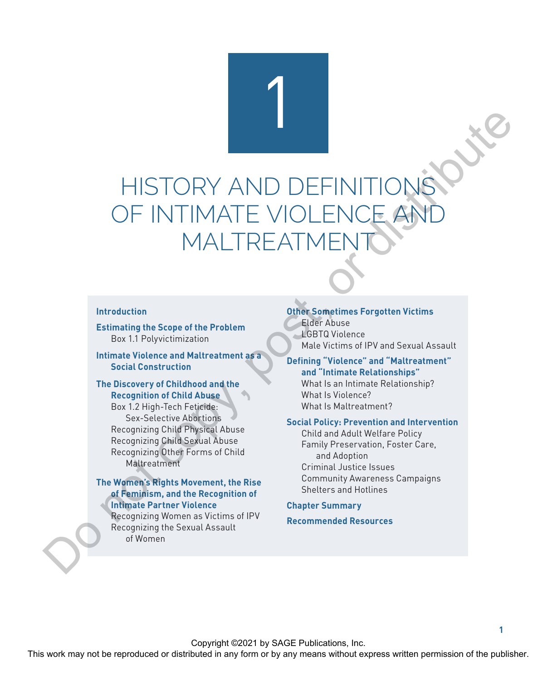HISTORY AND DEFINITION OF INTIMATE VIOLENCE A MALTREATME This work may not be reproduced or distributed in any form or by any means without express written  $\frac{1}{2}$  (Fig. 2) (Fig. 2) (Fig. 2) (Fig. 2) (Fig. 2) (Fig. 2) (Fig. 2) (Fig. 2) (Fig. 2) (Fig. 2) (Fig. 2) (Fig. 2) (Fig

1

#### **Introduction**

**Estimating the Scope of the Problem** Box 1.1 Polyvictimization

**Intimate Violence and Maltreatment as a Social Construction**

### **The Discovery of Childhood and the Recognition of Child Abuse**

Box 1.2 High-Tech Feticide: Sex-Selective Abortions Recognizing Child Physical Abuse Recognizing Child Sexual Abuse Recognizing Other Forms of Child Maltreatment

### **The Women's Rights Movement, the Rise of Feminism, and the Recognition of Intimate Partner Violence**

Recognizing Women as Victims of IPV Recognizing the Sexual Assault of Women

#### **Other Sometimes Forgotten Victims** Elder Abuse LGBTQ Violence

Male Victims of IPV and Sexual Assault

#### **Defining "Violence" and "Maltreatment" and "Intimate Relationships"**

What Is an Intimate Relationship? What Is Violence? What Is Maltreatment?

### **Social Policy: Prevention and Intervention**

Child and Adult Welfare Policy Family Preservation, Foster Care, and Adoption Criminal Justice Issues Community Awareness Campaigns Shelters and Hotlines

### **Chapter Summary**

### **Recommended Resources**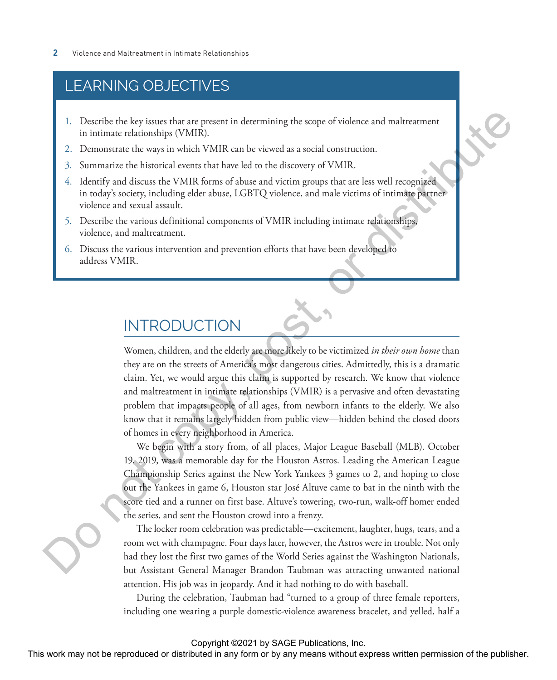## LEARNING OBJECTIVES

- 1. Describe the key issues that are present in determining the scope of violence and maltreatment in intimate relationships (VMIR).
- 2. Demonstrate the ways in which VMIR can be viewed as a social construction.
- 3. Summarize the historical events that have led to the discovery of VMIR.
- 4. Identify and discuss the VMIR forms of abuse and victim groups that are less well recognized in today's society, including elder abuse, LGBTQ violence, and male victims of intimate partner violence and sexual assault.
- 5. Describe the various definitional components of VMIR including intimate relationships, violence, and maltreatment.
- 6. Discuss the various intervention and prevention efforts that have been developed to address VMIR.

## INTRODUCTION

Women, children, and the elderly are more likely to be victimized *in their own home* than they are on the streets of America's most dangerous cities. Admittedly, this is a dramatic claim. Yet, we would argue this claim is supported by research. We know that violence and maltreatment in intimate relationships (VMIR) is a pervasive and often devastating problem that impacts people of all ages, from newborn infants to the elderly. We also know that it remains largely hidden from public view—hidden behind the closed doors of homes in every neighborhood in America. The contract methods of the repression of the results of the repression of the relationship is the relationship of the relationship is a social content of the relationship of the relationship of the relationship of the re

We begin with a story from, of all places, Major League Baseball (MLB). October 19, 2019, was a memorable day for the Houston Astros. Leading the American League Championship Series against the New York Yankees 3 games to 2, and hoping to close out the Yankees in game 6, Houston star José Altuve came to bat in the ninth with the score tied and a runner on first base. Altuve's towering, two-run, walk-off homer ended the series, and sent the Houston crowd into a frenzy.

The locker room celebration was predictable—excitement, laughter, hugs, tears, and a room wet with champagne. Four days later, however, the Astros were in trouble. Not only had they lost the first two games of the World Series against the Washington Nationals, but Assistant General Manager Brandon Taubman was attracting unwanted national attention. His job was in jeopardy. And it had nothing to do with baseball.

During the celebration, Taubman had "turned to a group of three female reporters, including one wearing a purple domestic-violence awareness bracelet, and yelled, half a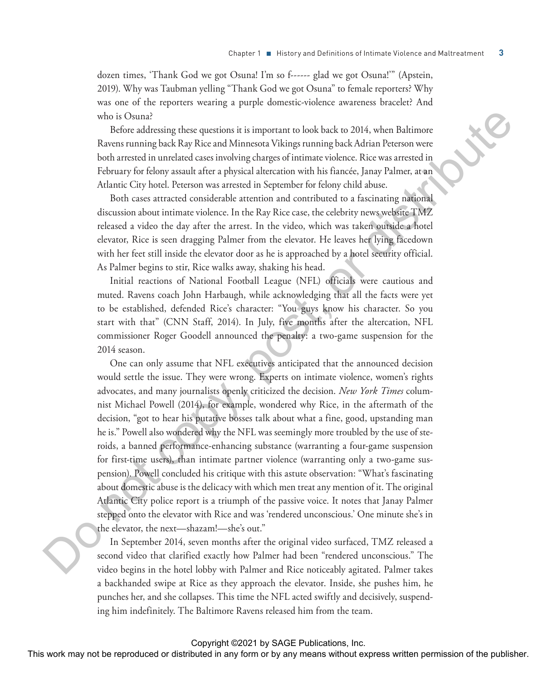dozen times, 'Thank God we got Osuna! I'm so f------ glad we got Osuna!'" (Apstein, 2019). Why was Taubman yelling "Thank God we got Osuna" to female reporters? Why was one of the reporters wearing a purple domestic-violence awareness bracelet? And who is Osuna?

Before addressing these questions it is important to look back to 2014, when Baltimore Ravens running back Ray Rice and Minnesota Vikings running back Adrian Peterson were both arrested in unrelated cases involving charges of intimate violence. Rice was arrested in February for felony assault after a physical altercation with his fiancée, Janay Palmer, at an Atlantic City hotel. Peterson was arrested in September for felony child abuse.

Both cases attracted considerable attention and contributed to a fascinating national discussion about intimate violence. In the Ray Rice case, the celebrity news website TMZ released a video the day after the arrest. In the video, which was taken outside a hotel elevator, Rice is seen dragging Palmer from the elevator. He leaves her lying facedown with her feet still inside the elevator door as he is approached by a hotel security official. As Palmer begins to stir, Rice walks away, shaking his head.

Initial reactions of National Football League (NFL) officials were cautious and muted. Ravens coach John Harbaugh, while acknowledging that all the facts were yet to be established, defended Rice's character: "You guys know his character. So you start with that" (CNN Staff, 2014). In July, five months after the altercation, NFL commissioner Roger Goodell announced the penalty: a two-game suspension for the 2014 season.

One can only assume that NFL executives anticipated that the announced decision would settle the issue. They were wrong. Experts on intimate violence, women's rights advocates, and many journalists openly criticized the decision. *New York Times* columnist Michael Powell (2014), for example, wondered why Rice, in the aftermath of the decision, "got to hear his putative bosses talk about what a fine, good, upstanding man he is." Powell also wondered why the NFL was seemingly more troubled by the use of steroids, a banned performance-enhancing substance (warranting a four-game suspension for first-time users), than intimate partner violence (warranting only a two-game suspension). Powell concluded his critique with this astute observation: "What's fascinating about domestic abuse is the delicacy with which men treat any mention of it. The original Atlantic City police report is a triumph of the passive voice. It notes that Janay Palmer stepped onto the elevator with Rice and was 'rendered unconscious.' One minute she's in the elevator, the next—shazam!—she's out." We is Coural in the representation is a important to book back or 2014, when Baltimore Reversion marring permission and the reproduced or distributed in a permission or between the representation of the publisher. Both a

In September 2014, seven months after the original video surfaced, TMZ released a second video that clarified exactly how Palmer had been "rendered unconscious." The video begins in the hotel lobby with Palmer and Rice noticeably agitated. Palmer takes a backhanded swipe at Rice as they approach the elevator. Inside, she pushes him, he punches her, and she collapses. This time the NFL acted swiftly and decisively, suspending him indefinitely. The Baltimore Ravens released him from the team.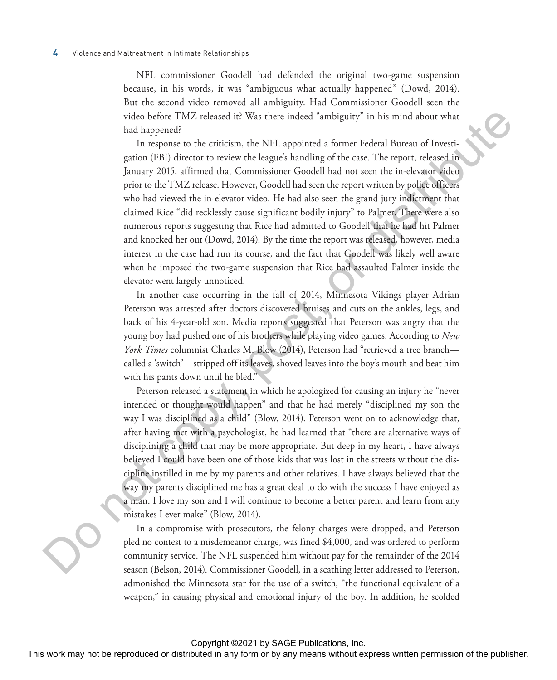NFL commissioner Goodell had defended the original two-game suspension because, in his words, it was "ambiguous what actually happened" (Dowd, 2014). But the second video removed all ambiguity. Had Commissioner Goodell seen the video before TMZ released it? Was there indeed "ambiguity" in his mind about what had happened?

In response to the criticism, the NFL appointed a former Federal Bureau of Investigation (FBI) director to review the league's handling of the case. The report, released in January 2015, affirmed that Commissioner Goodell had not seen the in-elevator video prior to the TMZ release. However, Goodell had seen the report written by police officers who had viewed the in-elevator video. He had also seen the grand jury indictment that claimed Rice "did recklessly cause significant bodily injury" to Palmer. There were also numerous reports suggesting that Rice had admitted to Goodell that he had hit Palmer and knocked her out (Dowd, 2014). By the time the report was released, however, media interest in the case had run its course, and the fact that Goodell was likely well aware when he imposed the two-game suspension that Rice had assaulted Palmer inside the elevator went largely unnoticed. vision between Towards in Was these inclusion "arbitraries" in a horizontal Barano of the reproduced or distributed in any form or between the means without express proposes of the final Barano of the publisher. The propo

In another case occurring in the fall of 2014, Minnesota Vikings player Adrian Peterson was arrested after doctors discovered bruises and cuts on the ankles, legs, and back of his 4-year-old son. Media reports suggested that Peterson was angry that the young boy had pushed one of his brothers while playing video games. According to *New York Times* columnist Charles M. Blow (2014), Peterson had "retrieved a tree branch called a 'switch'—stripped off its leaves, shoved leaves into the boy's mouth and beat him with his pants down until he bled."

Peterson released a statement in which he apologized for causing an injury he "never intended or thought would happen" and that he had merely "disciplined my son the way I was disciplined as a child" (Blow, 2014). Peterson went on to acknowledge that, after having met with a psychologist, he had learned that "there are alternative ways of disciplining a child that may be more appropriate. But deep in my heart, I have always believed I could have been one of those kids that was lost in the streets without the discipline instilled in me by my parents and other relatives. I have always believed that the way my parents disciplined me has a great deal to do with the success I have enjoyed as a man. I love my son and I will continue to become a better parent and learn from any mistakes I ever make" (Blow, 2014).

In a compromise with prosecutors, the felony charges were dropped, and Peterson pled no contest to a misdemeanor charge, was fined \$4,000, and was ordered to perform community service. The NFL suspended him without pay for the remainder of the 2014 season (Belson, 2014). Commissioner Goodell, in a scathing letter addressed to Peterson, admonished the Minnesota star for the use of a switch, "the functional equivalent of a weapon," in causing physical and emotional injury of the boy. In addition, he scolded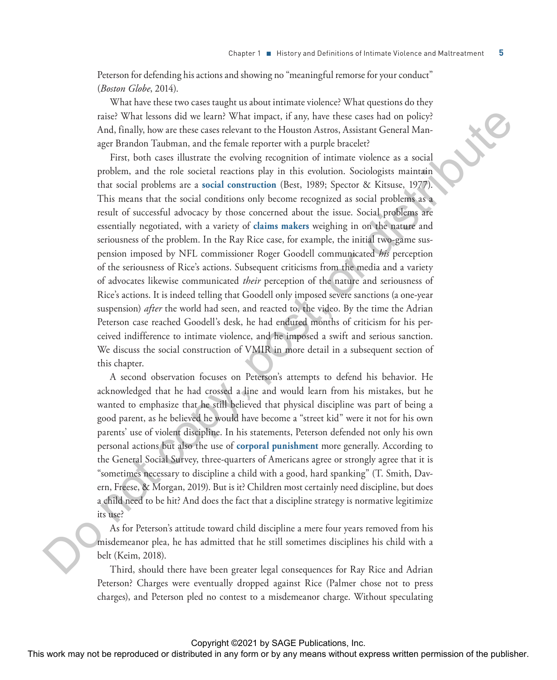Peterson for defending his actions and showing no "meaningful remorse for your conduct" (*Boston Globe*, 2014).

What have these two cases taught us about intimate violence? What questions do they raise? What lessons did we learn? What impact, if any, have these cases had on policy? And, finally, how are these cases relevant to the Houston Astros, Assistant General Manager Brandon Taubman, and the female reporter with a purple bracelet?

First, both cases illustrate the evolving recognition of intimate violence as a social problem, and the role societal reactions play in this evolution. Sociologists maintain that social problems are a **social construction** (Best, 1989; Spector & Kitsuse, 1977). This means that the social conditions only become recognized as social problems as a result of successful advocacy by those concerned about the issue. Social problems are essentially negotiated, with a variety of **claims makers** weighing in on the nature and seriousness of the problem. In the Ray Rice case, for example, the initial two-game suspension imposed by NFL commissioner Roger Goodell communicated *his* perception of the seriousness of Rice's actions. Subsequent criticisms from the media and a variety of advocates likewise communicated *their* perception of the nature and seriousness of Rice's actions. It is indeed telling that Goodell only imposed severe sanctions (a one-year suspension) *after* the world had seen, and reacted to, the video. By the time the Adrian Peterson case reached Goodell's desk, he had endured months of criticism for his perceived indifference to intimate violence, and he imposed a swift and serious sanction. We discuss the social construction of VMIR in more detail in a subsequent section of this chapter. The Walk may distributed or distributed or distributed in any form of the publishering or Bundler Distributed in any distributed in any form or better and any form or better and any form or better and any form or by any f

A second observation focuses on Peterson's attempts to defend his behavior. He acknowledged that he had crossed a line and would learn from his mistakes, but he wanted to emphasize that he still believed that physical discipline was part of being a good parent, as he believed he would have become a "street kid" were it not for his own parents' use of violent discipline. In his statements, Peterson defended not only his own personal actions but also the use of **corporal punishment** more generally. According to the General Social Survey, three-quarters of Americans agree or strongly agree that it is "sometimes necessary to discipline a child with a good, hard spanking" (T. Smith, Davern, Freese, & Morgan, 2019). But is it? Children most certainly need discipline, but does a child need to be hit? And does the fact that a discipline strategy is normative legitimize its use?

As for Peterson's attitude toward child discipline a mere four years removed from his misdemeanor plea, he has admitted that he still sometimes disciplines his child with a belt (Keim, 2018).

Third, should there have been greater legal consequences for Ray Rice and Adrian Peterson? Charges were eventually dropped against Rice (Palmer chose not to press charges), and Peterson pled no contest to a misdemeanor charge. Without speculating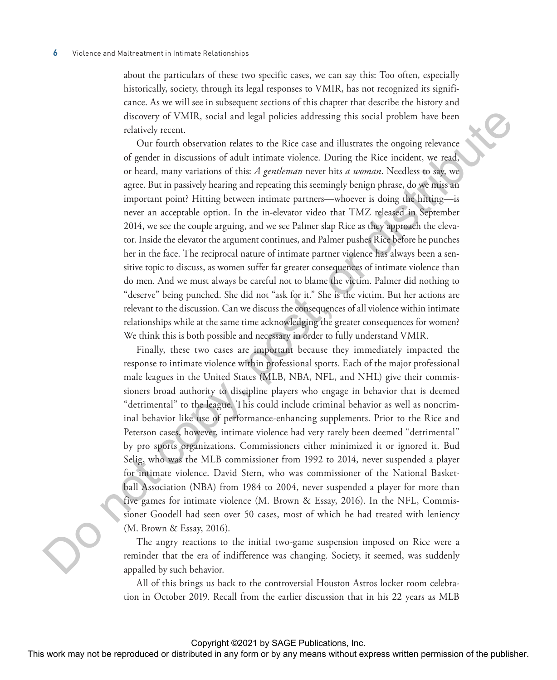about the particulars of these two specific cases, we can say this: Too often, especially historically, society, through its legal responses to VMIR, has not recognized its significance. As we will see in subsequent sections of this chapter that describe the history and discovery of VMIR, social and legal policies addressing this social problem have been relatively recent.

Our fourth observation relates to the Rice case and illustrates the ongoing relevance of gender in discussions of adult intimate violence. During the Rice incident, we read, or heard, many variations of this: *A gentleman* never hits *a woman*. Needless to say, we agree. But in passively hearing and repeating this seemingly benign phrase, do we miss an important point? Hitting between intimate partners—whoever is doing the hitting—is never an acceptable option. In the in-elevator video that TMZ released in September 2014, we see the couple arguing, and we see Palmer slap Rice as they approach the elevator. Inside the elevator the argument continues, and Palmer pushes Rice before he punches her in the face. The reciprocal nature of intimate partner violence has always been a sensitive topic to discuss, as women suffer far greater consequences of intimate violence than do men. And we must always be careful not to blame the victim. Palmer did nothing to "deserve" being punched. She did not "ask for it." She is the victim. But her actions are relevant to the discussion. Can we discuss the consequences of all violence within intimate relationships while at the same time acknowledging the greater consequences for women? We think this is both possible and necessary in order to fully understand VMIR. The<br>section of VMR, and a first performance to the Rice case and illustrations be employed as<br>the reproduced or distributed in any form or by a set of the relations with<br>any or distributed or distributed or distributed in

Finally, these two cases are important because they immediately impacted the response to intimate violence within professional sports. Each of the major professional male leagues in the United States (MLB, NBA, NFL, and NHL) give their commissioners broad authority to discipline players who engage in behavior that is deemed "detrimental" to the league. This could include criminal behavior as well as noncriminal behavior like use of performance-enhancing supplements. Prior to the Rice and Peterson cases, however, intimate violence had very rarely been deemed "detrimental" by pro sports organizations. Commissioners either minimized it or ignored it. Bud Selig, who was the MLB commissioner from 1992 to 2014, never suspended a player for intimate violence. David Stern, who was commissioner of the National Basketball Association (NBA) from 1984 to 2004, never suspended a player for more than five games for intimate violence (M. Brown & Essay, 2016). In the NFL, Commissioner Goodell had seen over 50 cases, most of which he had treated with leniency (M. Brown & Essay, 2016).

The angry reactions to the initial two-game suspension imposed on Rice were a reminder that the era of indifference was changing. Society, it seemed, was suddenly appalled by such behavior.

All of this brings us back to the controversial Houston Astros locker room celebration in October 2019. Recall from the earlier discussion that in his 22 years as MLB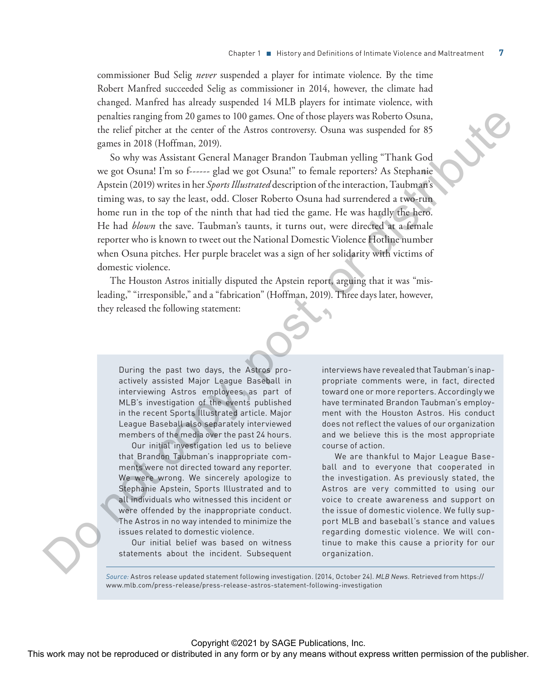commissioner Bud Selig *never* suspended a player for intimate violence. By the time Robert Manfred succeeded Selig as commissioner in 2014, however, the climate had changed. Manfred has already suspended 14 MLB players for intimate violence, with penalties ranging from 20 games to 100 games. One of those players was Roberto Osuna, the relief pitcher at the center of the Astros controversy. Osuna was suspended for 85 games in 2018 (Hoffman, 2019).

So why was Assistant General Manager Brandon Taubman yelling "Thank God we got Osuna! I'm so f------ glad we got Osuna!" to female reporters? As Stephanie Apstein (2019) writes in her *Sports Illustrated* description of the interaction, Taubman's timing was, to say the least, odd. Closer Roberto Osuna had surrendered a two-run home run in the top of the ninth that had tied the game. He was hardly the hero. He had *blown* the save. Taubman's taunts, it turns out, were directed at a female reporter who is known to tweet out the National Domestic Violence Hotline number when Osuna pitches. Her purple bracelet was a sign of her solidarity with victims of domestic violence. produce may not be reproduced or the repression of the repression or behavior and the reproduced or the reproduced or the reproduced in any form of the reproduced in any form of the reproduced in any form of the publisher

The Houston Astros initially disputed the Apstein report, arguing that it was "misleading," "irresponsible," and a "fabrication" (Hoffman, 2019). Three days later, however, they released the following statement:

During the past two days, the Astros proactively assisted Major League Baseball in interviewing Astros employees as part of MLB's investigation of the events published in the recent Sports Illustrated article. Major League Baseball also separately interviewed members of the media over the past 24 hours.

Our initial investigation led us to believe that Brandon Taubman's inappropriate comments were not directed toward any reporter. We were wrong. We sincerely apologize to Stephanie Apstein, Sports Illustrated and to all individuals who witnessed this incident or were offended by the inappropriate conduct. The Astros in no way intended to minimize the issues related to domestic violence.

Our initial belief was based on witness statements about the incident. Subsequent interviews have revealed that Taubman's inappropriate comments were, in fact, directed toward one or more reporters. Accordingly we have terminated Brandon Taubman's employment with the Houston Astros. His conduct does not reflect the values of our organization and we believe this is the most appropriate course of action.

We are thankful to Major League Baseball and to everyone that cooperated in the investigation. As previously stated, the Astros are very committed to using our voice to create awareness and support on the issue of domestic violence. We fully support MLB and baseball's stance and values regarding domestic violence. We will continue to make this cause a priority for our organization.

*Source:* Astros release updated statement following investigation. (2014, October 24). *MLB News*. Retrieved from https:// www.mlb.com/press-release/press-release-astros-statement-following-investigation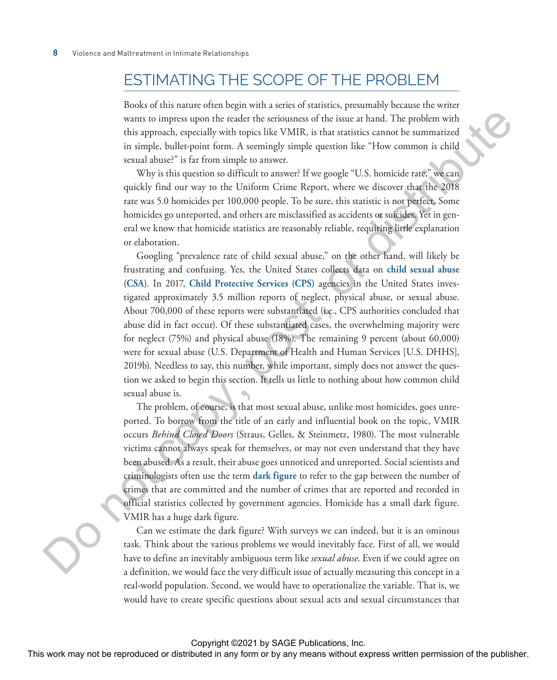## ESTIMATING THE SCOPE OF THE PROBLEM

Books of this nature often begin with a series of statistics, presumably because the writer wants to impress upon the reader the seriousness of the issue at hand. The problem with this approach, especially with topics like VMIR, is that statistics cannot be summarized in simple, bullet-point form. A seemingly simple question like "How common is child sexual abuse?" is far from simple to answer.

Why is this question so difficult to answer? If we google "U.S. homicide rate," we can quickly find our way to the Uniform Crime Report, where we discover that the 2018 rate was 5.0 homicides per 100,000 people. To be sure, this statistic is not perfect. Some homicides go unreported, and others are misclassified as accidents or suicides. Yet in general we know that homicide statistics are reasonably reliable, requiring little explanation or elaboration.

Googling "prevalence rate of child sexual abuse," on the other hand, will likely be frustrating and confusing. Yes, the United States collects data on **child sexual abuse (CSA)**. In 2017, **Child Protective Services (CPS)** agencies in the United States investigated approximately 3.5 million reports of neglect, physical abuse, or sexual abuse. About 700,000 of these reports were substantiated (i.e., CPS authorities concluded that abuse did in fact occur). Of these substantiated cases, the overwhelming majority were for neglect (75%) and physical abuse (18%). The remaining 9 percent (about 60,000) were for sexual abuse (U.S. Department of Health and Human Services [U.S. DHHS], 2019b). Needless to say, this number, while important, simply does not answer the question we asked to begin this section. It tells us little to nothing about how common child sexual abuse is. wants to interest may not be realisting to redistributed in expression or the result of the result of the result of the result of the result of the state of the state of the state of the state of the state of the state of

The problem, of course, is that most sexual abuse, unlike most homicides, goes unreported. To borrow from the title of an early and influential book on the topic, VMIR occurs *Behind Closed Doors* (Straus, Gelles, & Steinmetz, 1980). The most vulnerable victims cannot always speak for themselves, or may not even understand that they have been abused. As a result, their abuse goes unnoticed and unreported. Social scientists and criminologists often use the term **dark figure** to refer to the gap between the number of crimes that are committed and the number of crimes that are reported and recorded in official statistics collected by government agencies. Homicide has a small dark figure. VMIR has a huge dark figure.

Can we estimate the dark figure? With surveys we can indeed, but it is an ominous task. Think about the various problems we would inevitably face. First of all, we would have to define an inevitably ambiguous term like *sexual abuse*. Even if we could agree on a definition, we would face the very difficult issue of actually measuring this concept in a real-world population. Second, we would have to operationalize the variable. That is, we would have to create specific questions about sexual acts and sexual circumstances that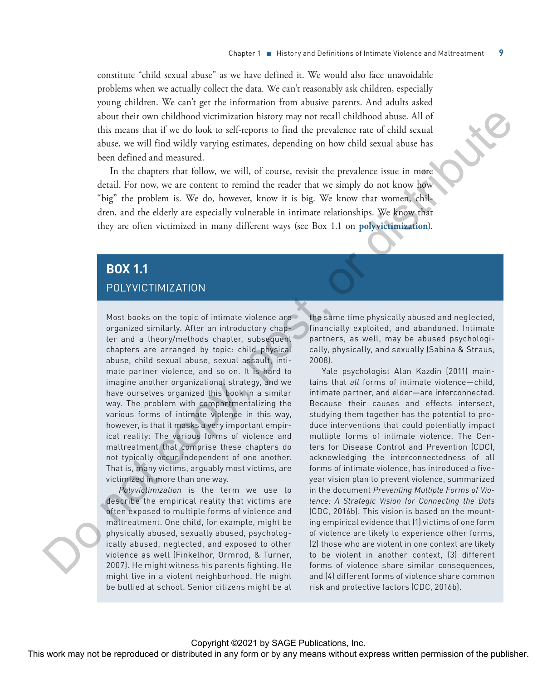constitute "child sexual abuse" as we have defined it. We would also face unavoidable problems when we actually collect the data. We can't reasonably ask children, especially young children. We can't get the information from abusive parents. And adults asked about their own childhood victimization history may not recall childhood abuse. All of this means that if we do look to self-reports to find the prevalence rate of child sexual abuse, we will find wildly varying estimates, depending on how child sexual abuse has been defined and measured.

In the chapters that follow, we will, of course, revisit the prevalence issue in more detail. For now, we are content to remind the reader that we simply do not know how "big" the problem is. We do, however, know it is big. We know that women, children, and the elderly are especially vulnerable in intimate relationships. We know that they are often victimized in many different ways (see Box 1.1 on **polyvictimization**).

## **BOX 1.1** POLYVICTIMIZATION

Most books on the topic of intimate violence are organized similarly. After an introductory chapter and a theory/methods chapter, subsequent chapters are arranged by topic: child physical abuse, child sexual abuse, sexual assault, intimate partner violence, and so on. It is hard to imagine another organizational strategy, and we have ourselves organized this book in a similar way. The problem with compartmentalizing the various forms of intimate violence in this way, however, is that it masks a very important empirical reality: The various forms of violence and maltreatment that comprise these chapters do not typically occur independent of one another. That is, many victims, arguably most victims, are victimized in more than one way.

*Polyvictimization* is the term we use to describe the empirical reality that victims are often exposed to multiple forms of violence and maltreatment. One child, for example, might be physically abused, sexually abused, psychologically abused, neglected, and exposed to other violence as well (Finkelhor, Ormrod, & Turner, 2007). He might witness his parents fighting. He might live in a violent neighborhood. He might be bullied at school. Senior citizens might be at the same time physically abused and neglected, financially exploited, and abandoned. Intimate partners, as well, may be abused psychologically, physically, and sexually (Sabina & Straus, 2008).

Yale psychologist Alan Kazdin (2011) maintains that *all* forms of intimate violence—child, intimate partner, and elder—are interconnected. Because their causes and effects intersect, studying them together has the potential to produce interventions that could potentially impact multiple forms of intimate violence. The Centers for Disease Control and Prevention (CDC), acknowledging the interconnectedness of all forms of intimate violence, has introduced a fiveyear vision plan to prevent violence, summarized in the document *Preventing Multiple Forms of Violence: A Strategic Vision for Connecting the Dots* (CDC, 2016b). This vision is based on the mounting empirical evidence that (1) victims of one form of violence are likely to experience other forms, (2) those who are violent in one context are likely to be violent in another context, (3) different forms of violence share similar consequences, and (4) different forms of violence share common risk and protective factors (CDC, 2016b). The model of the representation in the reproduced or distributed in any means with distributed in any form or by any means with the rest of the publisher. The distribution of the publisher way not continue the publisher.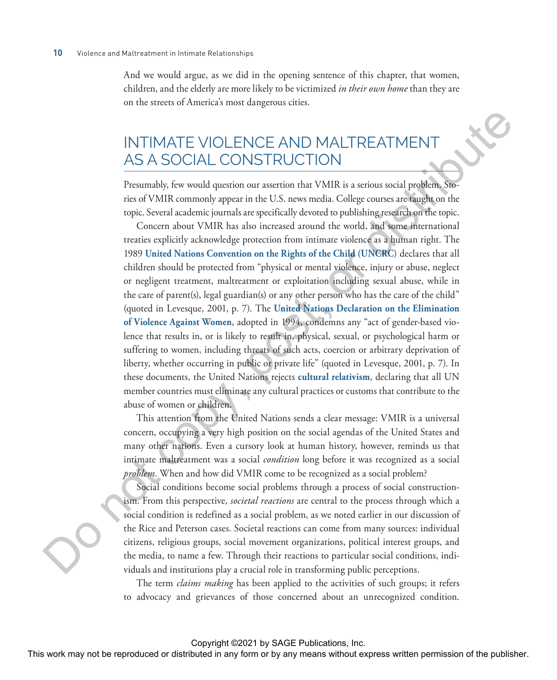And we would argue, as we did in the opening sentence of this chapter, that women, children, and the elderly are more likely to be victimized *in their own home* than they are on the streets of America's most dangerous cities.

# INTIMATE VIOLENCE AND MALTREATMENT AS A SOCIAL CONSTRUCTION

Presumably, few would question our assertion that VMIR is a serious social problem. Stories of VMIR commonly appear in the U.S. news media. College courses are taught on the topic. Several academic journals are specifically devoted to publishing research on the topic.

Concern about VMIR has also increased around the world, and some international treaties explicitly acknowledge protection from intimate violence as a human right. The 1989 **United Nations Convention on the Rights of the Child (UNCRC)** declares that all children should be protected from "physical or mental violence, injury or abuse, neglect or negligent treatment, maltreatment or exploitation including sexual abuse, while in the care of parent(s), legal guardian(s) or any other person who has the care of the child" (quoted in Levesque, 2001, p. 7). The **United Nations Declaration on the Elimination of Violence Against Women**, adopted in 1994, condemns any "act of gender-based violence that results in, or is likely to result in, physical, sexual, or psychological harm or suffering to women, including threats of such acts, coercion or arbitrary deprivation of liberty, whether occurring in public or private life" (quoted in Levesque, 2001, p. 7). In these documents, the United Nations rejects **cultural relativism**, declaring that all UN member countries must eliminate any cultural practices or customs that contribute to the abuse of women or children. INTIMATE VIOLENCE AND MALTREATMENT<br>AS A SOCIAL CONSTRUCTION<br>Tremminity, for world question any axertion that VMR is a aroun ancil prophen, where<br>the repressed of MMR commody appear in the U.S. two means which are<br>publishe

This attention from the United Nations sends a clear message: VMIR is a universal concern, occupying a very high position on the social agendas of the United States and many other nations. Even a cursory look at human history, however, reminds us that intimate maltreatment was a social *condition* long before it was recognized as a social *problem*. When and how did VMIR come to be recognized as a social problem?

Social conditions become social problems through a process of social constructionism. From this perspective, *societal reactions* are central to the process through which a social condition is redefined as a social problem, as we noted earlier in our discussion of the Rice and Peterson cases. Societal reactions can come from many sources: individual citizens, religious groups, social movement organizations, political interest groups, and the media, to name a few. Through their reactions to particular social conditions, individuals and institutions play a crucial role in transforming public perceptions.

The term *claims making* has been applied to the activities of such groups; it refers to advocacy and grievances of those concerned about an unrecognized condition.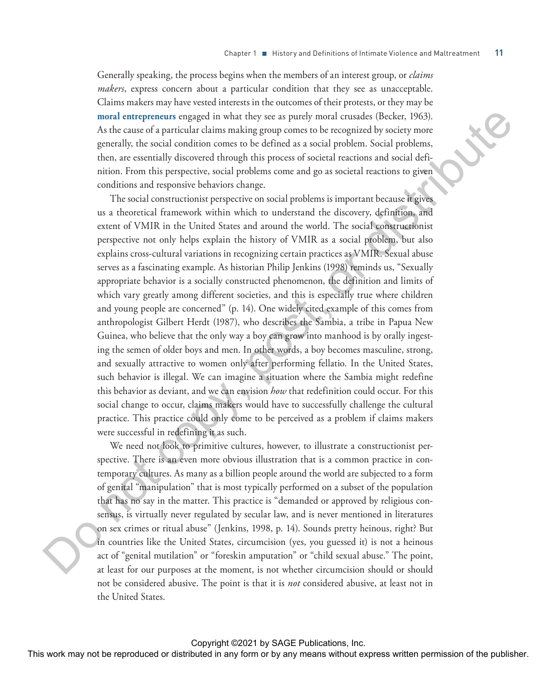Generally speaking, the process begins when the members of an interest group, or *claims makers*, express concern about a particular condition that they see as unacceptable. Claims makers may have vested interests in the outcomes of their protests, or they may be **moral entrepreneurs** engaged in what they see as purely moral crusades (Becker, 1963). As the cause of a particular claims making group comes to be recognized by society more generally, the social condition comes to be defined as a social problem. Social problems, then, are essentially discovered through this process of societal reactions and social definition. From this perspective, social problems come and go as societal reactions to given conditions and responsive behaviors change.

The social constructionist perspective on social problems is important because it gives us a theoretical framework within which to understand the discovery, definition, and extent of VMIR in the United States and around the world. The social constructionist perspective not only helps explain the history of VMIR as a social problem, but also explains cross-cultural variations in recognizing certain practices as VMIR. Sexual abuse serves as a fascinating example. As historian Philip Jenkins (1998) reminds us, "Sexually appropriate behavior is a socially constructed phenomenon, the definition and limits of which vary greatly among different societies, and this is especially true where children and young people are concerned" (p. 14). One widely cited example of this comes from anthropologist Gilbert Herdt (1987), who describes the Sambia, a tribe in Papua New Guinea, who believe that the only way a boy can grow into manhood is by orally ingesting the semen of older boys and men. In other words, a boy becomes masculine, strong, and sexually attractive to women only after performing fellatio. In the United States, such behavior is illegal. We can imagine a situation where the Sambia might redefine this behavior as deviant, and we can envision *how* that redefinition could occur. For this social change to occur, claims makers would have to successfully challenge the cultural practice. This practice could only come to be perceived as a problem if claims makers were successful in redefining it as such. meal entropyreduced or distributed or distributed or distributed or distributed in any form or be reproduced or distributed in a such any means when  $S$  with permission of the publisher. See the publisher, see the publish

We need not look to primitive cultures, however, to illustrate a constructionist perspective. There is an even more obvious illustration that is a common practice in contemporary cultures. As many as a billion people around the world are subjected to a form of genital "manipulation" that is most typically performed on a subset of the population that has no say in the matter. This practice is "demanded or approved by religious consensus, is virtually never regulated by secular law, and is never mentioned in literatures on sex crimes or ritual abuse" (Jenkins, 1998, p. 14). Sounds pretty heinous, right? But in countries like the United States, circumcision (yes, you guessed it) is not a heinous act of "genital mutilation" or "foreskin amputation" or "child sexual abuse." The point, at least for our purposes at the moment, is not whether circumcision should or should not be considered abusive. The point is that it is *not* considered abusive, at least not in the United States.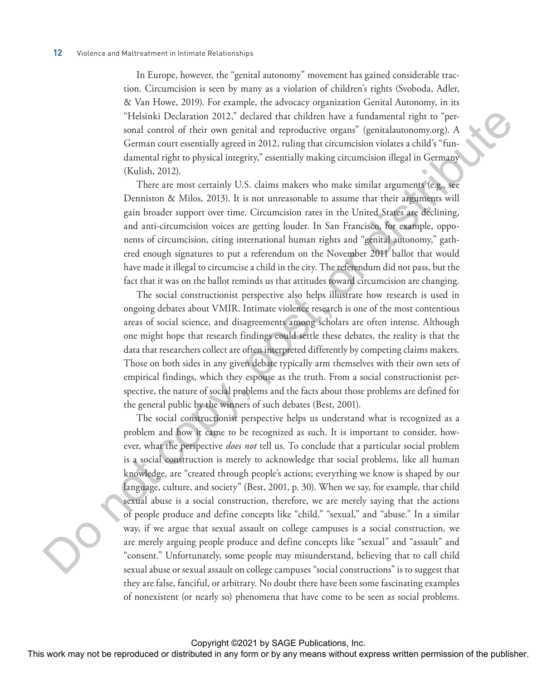In Europe, however, the "genital autonomy" movement has gained considerable traction. Circumcision is seen by many as a violation of children's rights (Svoboda, Adler, & Van Howe, 2019). For example, the advocacy organization Genital Autonomy, in its "Helsinki Declaration 2012," declared that children have a fundamental right to "personal control of their own genital and reproductive organs" (genitalautonomy.org). A German court essentially agreed in 2012, ruling that circumcision violates a child's "fundamental right to physical integrity," essentially making circumcision illegal in Germany (Kulish, 2012).

There are most certainly U.S. claims makers who make similar arguments (e.g., see Denniston & Milos, 2013). It is not unreasonable to assume that their arguments will gain broader support over time. Circumcision rates in the United States are declining, and anti-circumcision voices are getting louder. In San Francisco, for example, opponents of circumcision, citing international human rights and "genital autonomy," gathered enough signatures to put a referendum on the November 2011 ballot that would have made it illegal to circumcise a child in the city. The referendum did not pass, but the fact that it was on the ballot reminds us that attitudes toward circumcision are changing.

The social constructionist perspective also helps illustrate how research is used in ongoing debates about VMIR. Intimate violence research is one of the most contentious areas of social science, and disagreements among scholars are often intense. Although one might hope that research findings could settle these debates, the reality is that the data that researchers collect are often interpreted differently by competing claims makers. Those on both sides in any given debate typically arm themselves with their own sets of empirical findings, which they espouse as the truth. From a social constructionist perspective, the nature of social problems and the facts about those problems are defined for the general public by the winners of such debates (Best, 2001).

The social constructionist perspective helps us understand what is recognized as a problem and how it came to be recognized as such. It is important to consider, however, what the perspective *does not* tell us. To conclude that a particular social problem is a social construction is merely to acknowledge that social problems, like all human knowledge, are "created through people's actions; everything we know is shaped by our language, culture, and society" (Best, 2001, p. 30). When we say, for example, that child sexual abuse is a social construction, therefore, we are merely saying that the actions of people produce and define concepts like "child," "sexual," and "abuse." In a similar way, if we argue that sexual assault on college campuses is a social construction, we are merely arguing people produce and define concepts like "sexual" and "assault" and "consent." Unfortunately, some people may misunderstand, believing that to call child sexual abuse or sexual assault on college campuses "social constructions" is to suggest that they are false, fanciful, or arbitrary. No doubt there have been some fascinating examples of nonexistent (or nearly so) phenomena that have come to be seen as social problems. The<br>labels Decktributed in a relation that the results and the relation or the first<br>increase or distributed in a relation of the results of the compact of<br>the results of the publisher. There are more certainly likely the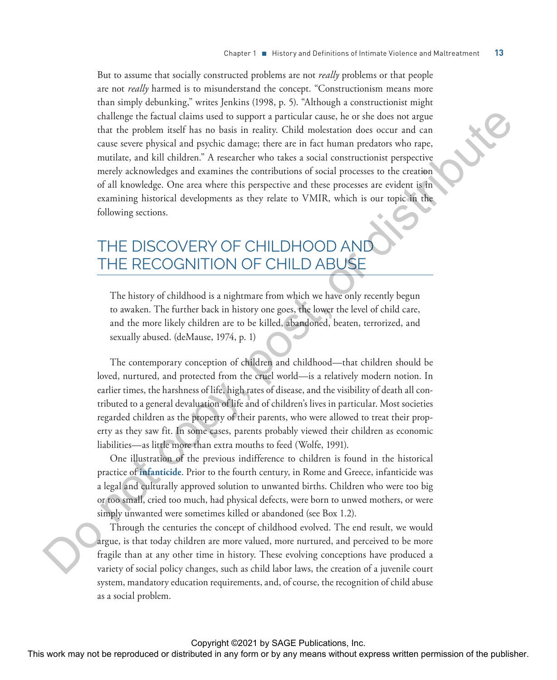But to assume that socially constructed problems are not *really* problems or that people are not *really* harmed is to misunderstand the concept. "Constructionism means more than simply debunking," writes Jenkins (1998, p. 5). "Although a constructionist might challenge the factual claims used to support a particular cause, he or she does not argue that the problem itself has no basis in reality. Child molestation does occur and can cause severe physical and psychic damage; there are in fact human predators who rape, mutilate, and kill children." A researcher who takes a social constructionist perspective merely acknowledges and examines the contributions of social processes to the creation of all knowledge. One area where this perspective and these processes are evident is in examining historical developments as they relate to VMIR, which is our topic in the following sections. challeng the formal dark may not be reproduced or any means where or distributed in any detective area with form or behaviour any means were proposed any detective any means were proposed any means were proposed in any me

# THE DISCOVERY OF CHILDHOOD AND THE RECOGNITION OF CHILD ABUSE

The history of childhood is a nightmare from which we have only recently begun to awaken. The further back in history one goes, the lower the level of child care, and the more likely children are to be killed, abandoned, beaten, terrorized, and sexually abused. (deMause, 1974, p. 1)

The contemporary conception of children and childhood—that children should be loved, nurtured, and protected from the cruel world—is a relatively modern notion. In earlier times, the harshness of life, high rates of disease, and the visibility of death all contributed to a general devaluation of life and of children's lives in particular. Most societies regarded children as the property of their parents, who were allowed to treat their property as they saw fit. In some cases, parents probably viewed their children as economic liabilities—as little more than extra mouths to feed (Wolfe, 1991).

One illustration of the previous indifference to children is found in the historical practice of **infanticide**. Prior to the fourth century, in Rome and Greece, infanticide was a legal and culturally approved solution to unwanted births. Children who were too big or too small, cried too much, had physical defects, were born to unwed mothers, or were simply unwanted were sometimes killed or abandoned (see Box 1.2).

Through the centuries the concept of childhood evolved. The end result, we would argue, is that today children are more valued, more nurtured, and perceived to be more fragile than at any other time in history. These evolving conceptions have produced a variety of social policy changes, such as child labor laws, the creation of a juvenile court system, mandatory education requirements, and, of course, the recognition of child abuse as a social problem.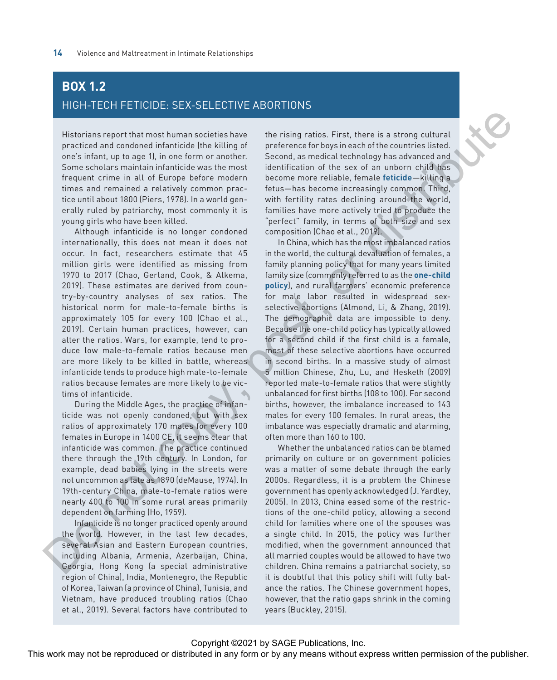# **BOX 1.2** HIGH-TECH FETICIDE: SEX-SELECTIVE ABORTIONS

Historians report that most human societies have practiced and condoned infanticide (the killing of one's infant, up to age 1), in one form or another. Some scholars maintain infanticide was the most frequent crime in all of Europe before modern times and remained a relatively common practice until about 1800 (Piers, 1978). In a world generally ruled by patriarchy, most commonly it is young girls who have been killed.

Although infanticide is no longer condoned internationally, this does not mean it does not occur. In fact, researchers estimate that 45 million girls were identified as missing from 1970 to 2017 (Chao, Gerland, Cook, & Alkema, 2019). These estimates are derived from country-by-country analyses of sex ratios. The historical norm for male-to-female births is approximately 105 for every 100 (Chao et al., 2019). Certain human practices, however, can alter the ratios. Wars, for example, tend to produce low male-to-female ratios because men are more likely to be killed in battle, whereas infanticide tends to produce high male-to-female ratios because females are more likely to be victims of infanticide.

During the Middle Ages, the practice of infanticide was not openly condoned, but with sex ratios of approximately 170 males for every 100 females in Europe in 1400 CE, it seems clear that infanticide was common. The practice continued there through the 19th century. In London, for example, dead babies lying in the streets were not uncommon as late as 1890 (deMause, 1974). In 19th-century China, male-to-female ratios were nearly 400 to 100 in some rural areas primarily dependent on farming (Ho, 1959).

Infanticide is no longer practiced openly around the world. However, in the last few decades, several Asian and Eastern European countries, including Albania, Armenia, Azerbaijan, China, Georgia, Hong Kong (a special administrative region of China), India, Montenegro, the Republic of Korea, Taiwan (a province of China), Tunisia, and Vietnam, have produced troubling ratios (Chao et al., 2019). Several factors have contributed to

the rising ratios. First, there is a strong cultural preference for boys in each of the countries listed. Second, as medical technology has advanced and identification of the sex of an unborn child has become more reliable, female **feticide**—killing a fetus—has become increasingly common. Third, with fertility rates declining around the world, families have more actively tried to produce the "perfect" family, in terms of both size and sex composition (Chao et al., 2019).

In China, which has the most imbalanced ratios in the world, the cultural devaluation of females, a family planning policy that for many years limited family size (commonly referred to as the **one-child policy**), and rural farmers' economic preference for male labor resulted in widespread sexselective abortions (Almond, Li, & Zhang, 2019). The demographic data are impossible to deny. Because the one-child policy has typically allowed for a second child if the first child is a female, most of these selective abortions have occurred in second births. In a massive study of almost 5 million Chinese, Zhu, Lu, and Hesketh (2009) reported male-to-female ratios that were slightly unbalanced for first births (108 to 100). For second births, however, the imbalance increased to 143 males for every 100 females. In rural areas, the imbalance was especially dramatic and alarming, often more than 160 to 100. This means the rest is a computer or distributed or distributed or distributed or distributed or distributed or distributed or distributed or distributed or distributed or distributed or distributed or distributed in any

Whether the unbalanced ratios can be blamed primarily on culture or on government policies was a matter of some debate through the early 2000s. Regardless, it is a problem the Chinese government has openly acknowledged (J. Yardley, 2005). In 2013, China eased some of the restrictions of the one-child policy, allowing a second child for families where one of the spouses was a single child. In 2015, the policy was further modified, when the government announced that all married couples would be allowed to have two children. China remains a patriarchal society, so it is doubtful that this policy shift will fully balance the ratios. The Chinese government hopes, however, that the ratio gaps shrink in the coming years (Buckley, 2015).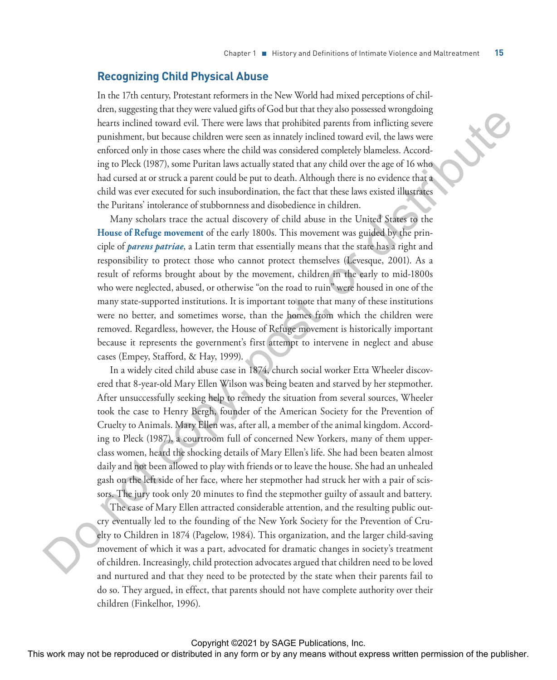### **Recognizing Child Physical Abuse**

In the 17th century, Protestant reformers in the New World had mixed perceptions of children, suggesting that they were valued gifts of God but that they also possessed wrongdoing hearts inclined toward evil. There were laws that prohibited parents from inflicting severe punishment, but because children were seen as innately inclined toward evil, the laws were enforced only in those cases where the child was considered completely blameless. According to Pleck (1987), some Puritan laws actually stated that any child over the age of 16 who had cursed at or struck a parent could be put to death. Although there is no evidence that a child was ever executed for such insubordination, the fact that these laws existed illustrates the Puritans' intolerance of stubbornness and disobedience in children.

Many scholars trace the actual discovery of child abuse in the United States to the **House of Refuge movement** of the early 1800s. This movement was guided by the principle of *parens patriae*, a Latin term that essentially means that the state has a right and responsibility to protect those who cannot protect themselves (Levesque, 2001). As a result of reforms brought about by the movement, children in the early to mid-1800s who were neglected, abused, or otherwise "on the road to ruin" were housed in one of the many state-supported institutions. It is important to note that many of these institutions were no better, and sometimes worse, than the homes from which the children were removed. Regardless, however, the House of Refuge movement is historically important because it represents the government's first attempt to intervene in neglect and abuse cases (Empey, Stafford, & Hay, 1999). The constrained in the results of the results of the results of the results of the results of the results of the results of the results of the results of the results of the results of the results of the results of the res

In a widely cited child abuse case in 1874, church social worker Etta Wheeler discovered that 8-year-old Mary Ellen Wilson was being beaten and starved by her stepmother. After unsuccessfully seeking help to remedy the situation from several sources, Wheeler took the case to Henry Bergh, founder of the American Society for the Prevention of Cruelty to Animals. Mary Ellen was, after all, a member of the animal kingdom. According to Pleck (1987), a courtroom full of concerned New Yorkers, many of them upperclass women, heard the shocking details of Mary Ellen's life. She had been beaten almost daily and not been allowed to play with friends or to leave the house. She had an unhealed gash on the left side of her face, where her stepmother had struck her with a pair of scissors. The jury took only 20 minutes to find the stepmother guilty of assault and battery.

The case of Mary Ellen attracted considerable attention, and the resulting public outcry eventually led to the founding of the New York Society for the Prevention of Cruelty to Children in 1874 (Pagelow, 1984). This organization, and the larger child-saving movement of which it was a part, advocated for dramatic changes in society's treatment of children. Increasingly, child protection advocates argued that children need to be loved and nurtured and that they need to be protected by the state when their parents fail to do so. They argued, in effect, that parents should not have complete authority over their children (Finkelhor, 1996).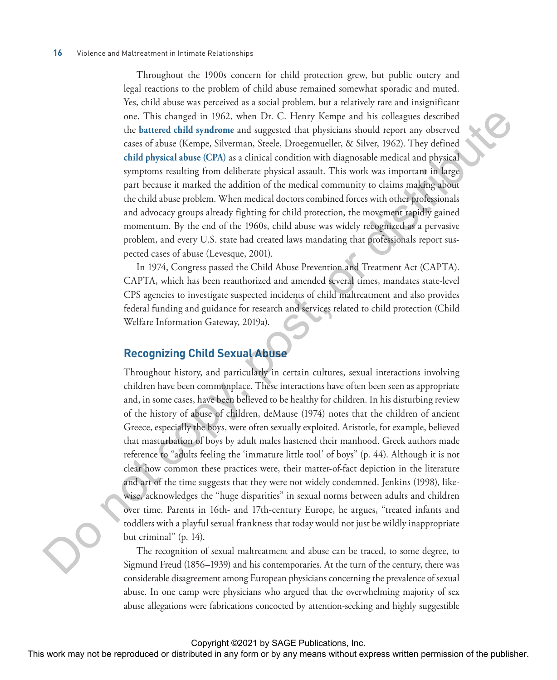Throughout the 1900s concern for child protection grew, but public outcry and legal reactions to the problem of child abuse remained somewhat sporadic and muted. Yes, child abuse was perceived as a social problem, but a relatively rare and insignificant one. This changed in 1962, when Dr. C. Henry Kempe and his colleagues described the **battered child syndrome** and suggested that physicians should report any observed cases of abuse (Kempe, Silverman, Steele, Droegemueller, & Silver, 1962). They defined **child physical abuse (CPA)** as a clinical condition with diagnosable medical and physical symptoms resulting from deliberate physical assault. This work was important in large part because it marked the addition of the medical community to claims making about the child abuse problem. When medical doctors combined forces with other professionals and advocacy groups already fighting for child protection, the movement rapidly gained momentum. By the end of the 1960s, child abuse was widely recognized as a pervasive problem, and every U.S. state had created laws mandating that professionals report suspected cases of abuse (Levesque, 2001).

In 1974, Congress passed the Child Abuse Prevention and Treatment Act (CAPTA). CAPTA, which has been reauthorized and amended several times, mandates state-level CPS agencies to investigate suspected incidents of child maltreatment and also provides federal funding and guidance for research and services related to child protection (Child Welfare Information Gateway, 2019a).

## **Recognizing Child Sexual Abuse**

Throughout history, and particularly in certain cultures, sexual interactions involving children have been commonplace. These interactions have often been seen as appropriate and, in some cases, have been believed to be healthy for children. In his disturbing review of the history of abuse of children, deMause (1974) notes that the children of ancient Greece, especially the boys, were often sexually exploited. Aristotle, for example, believed that masturbation of boys by adult males hastened their manhood. Greek authors made reference to "adults feeling the 'immature little tool' of boys" (p. 44). Although it is not clear how common these practices were, their matter-of-fact depiction in the literature and art of the time suggests that they were not widely condemned. Jenkins (1998), likewise, acknowledges the "huge disparities" in sexual norms between adults and children over time. Parents in 16th- and 17th-century Europe, he argues, "treated infants and toddlers with a playful sexual frankness that today would not just be wildly inappropriate but criminal" (p. 14). This charge in the representation of the representation or the relies permission of the publisher or distributed in any form or by any distributed in any form of the rest of the publisher. They also the rest of the publis

The recognition of sexual maltreatment and abuse can be traced, to some degree, to Sigmund Freud (1856–1939) and his contemporaries. At the turn of the century, there was considerable disagreement among European physicians concerning the prevalence of sexual abuse. In one camp were physicians who argued that the overwhelming majority of sex abuse allegations were fabrications concocted by attention-seeking and highly suggestible

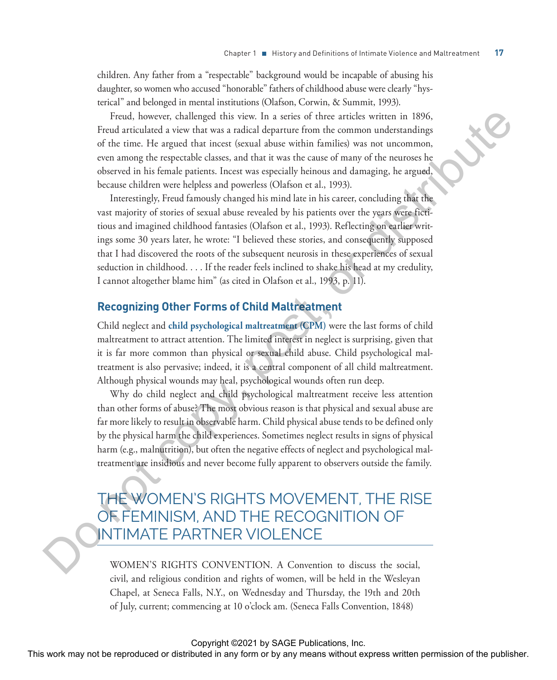children. Any father from a "respectable" background would be incapable of abusing his daughter, so women who accused "honorable" fathers of childhood abuse were clearly "hysterical" and belonged in mental institutions (Olafson, Corwin, & Summit, 1993).

Freud, however, challenged this view. In a series of three articles written in 1896, Freud articulated a view that was a radical departure from the common understandings of the time. He argued that incest (sexual abuse within families) was not uncommon, even among the respectable classes, and that it was the cause of many of the neuroses he observed in his female patients. Incest was especially heinous and damaging, he argued, because children were helpless and powerless (Olafson et al., 1993).

Interestingly, Freud famously changed his mind late in his career, concluding that the vast majority of stories of sexual abuse revealed by his patients over the years were fictitious and imagined childhood fantasies (Olafson et al., 1993). Reflecting on earlier writings some 30 years later, he wrote: "I believed these stories, and consequently supposed that I had discovered the roots of the subsequent neurosis in these experiences of sexual seduction in childhood. . . . If the reader feels inclined to shake his head at my credulity, I cannot altogether blame him" (as cited in Olafson et al., 1993, p. 11). Freed involves, challenged his views. In a series of three arrivals was not any form or between the reproduced in any form or between the representations and weak and the representations are a means weak and the represent

## **Recognizing Other Forms of Child Maltreatment**

Child neglect and **child psychological maltreatment (CPM)** were the last forms of child maltreatment to attract attention. The limited interest in neglect is surprising, given that it is far more common than physical or sexual child abuse. Child psychological maltreatment is also pervasive; indeed, it is a central component of all child maltreatment. Although physical wounds may heal, psychological wounds often run deep.

Why do child neglect and child psychological maltreatment receive less attention than other forms of abuse? The most obvious reason is that physical and sexual abuse are far more likely to result in observable harm. Child physical abuse tends to be defined only by the physical harm the child experiences. Sometimes neglect results in signs of physical harm (e.g., malnutrition), but often the negative effects of neglect and psychological maltreatment are insidious and never become fully apparent to observers outside the family.

# THE WOMEN'S RIGHTS MOVEMENT, THE RISE OF FEMINISM, AND THE RECOGNITION OF INTIMATE PARTNER VIOLENCE

WOMEN'S RIGHTS CONVENTION. A Convention to discuss the social, civil, and religious condition and rights of women, will be held in the Wesleyan Chapel, at Seneca Falls, N.Y., on Wednesday and Thursday, the 19th and 20th of July, current; commencing at 10 o'clock am. (Seneca Falls Convention, 1848)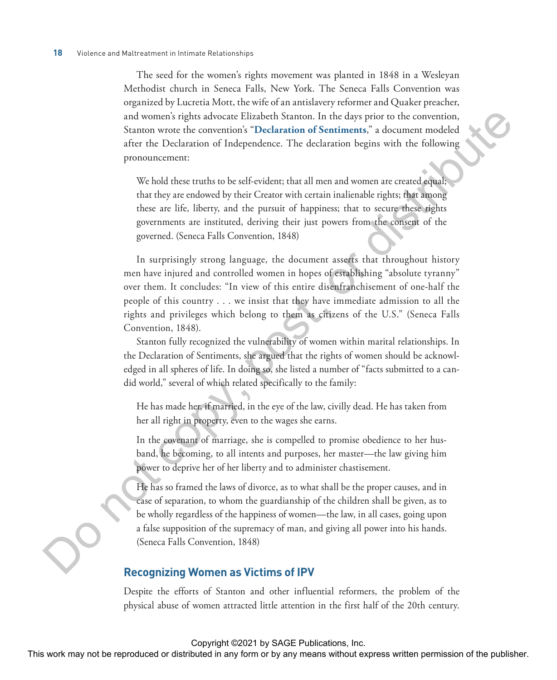The seed for the women's rights movement was planted in 1848 in a Wesleyan Methodist church in Seneca Falls, New York. The Seneca Falls Convention was organized by Lucretia Mott, the wife of an antislavery reformer and Quaker preacher, and women's rights advocate Elizabeth Stanton. In the days prior to the convention, Stanton wrote the convention's "**Declaration of Sentiments**," a document modeled after the Declaration of Independence. The declaration begins with the following pronouncement:

We hold these truths to be self-evident; that all men and women are created equal; that they are endowed by their Creator with certain inalienable rights; that among these are life, liberty, and the pursuit of happiness; that to secure these rights governments are instituted, deriving their just powers from the consent of the governed. (Seneca Falls Convention, 1848)

In surprisingly strong language, the document asserts that throughout history men have injured and controlled women in hopes of establishing "absolute tyranny" over them. It concludes: "In view of this entire disenfranchisement of one-half the people of this country . . . we insist that they have immediate admission to all the rights and privileges which belong to them as citizens of the U.S." (Seneca Falls Convention, 1848). For the rest or the rest or the rest or the rest or the rest or distributed in any form or by any point or the distribution of the produced or the point of the form of the rest or the publisher. The distributed in the fol

Stanton fully recognized the vulnerability of women within marital relationships. In the Declaration of Sentiments, she argued that the rights of women should be acknowledged in all spheres of life. In doing so, she listed a number of "facts submitted to a candid world," several of which related specifically to the family:

He has made her, if married, in the eye of the law, civilly dead. He has taken from her all right in property, even to the wages she earns.

In the covenant of marriage, she is compelled to promise obedience to her husband, he becoming, to all intents and purposes, her master—the law giving him power to deprive her of her liberty and to administer chastisement.

He has so framed the laws of divorce, as to what shall be the proper causes, and in case of separation, to whom the guardianship of the children shall be given, as to be wholly regardless of the happiness of women—the law, in all cases, going upon a false supposition of the supremacy of man, and giving all power into his hands. (Seneca Falls Convention, 1848)

## **Recognizing Women as Victims of IPV**

Despite the efforts of Stanton and other influential reformers, the problem of the physical abuse of women attracted little attention in the first half of the 20th century.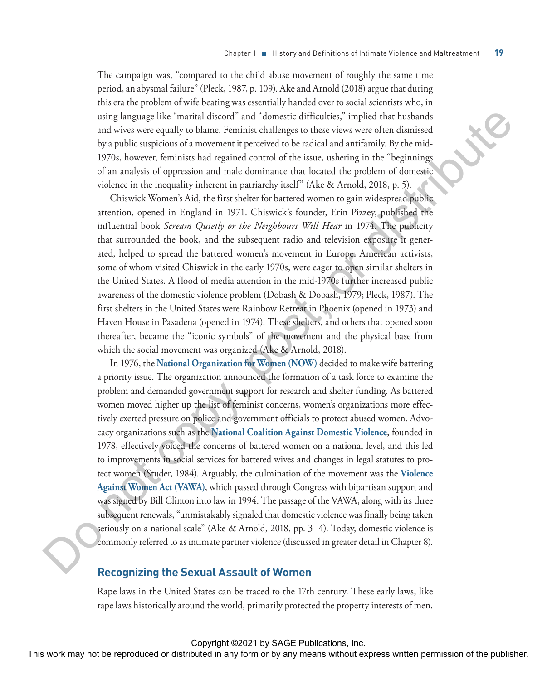The campaign was, "compared to the child abuse movement of roughly the same time period, an abysmal failure" (Pleck, 1987, p. 109). Ake and Arnold (2018) argue that during this era the problem of wife beating was essentially handed over to social scientists who, in using language like "marital discord" and "domestic difficulties," implied that husbands and wives were equally to blame. Feminist challenges to these views were often dismissed by a public suspicious of a movement it perceived to be radical and antifamily. By the mid-1970s, however, feminists had regained control of the issue, ushering in the "beginnings of an analysis of oppression and male dominance that located the problem of domestic violence in the inequality inherent in patriarchy itself" (Ake & Arnold, 2018, p. 5).

Chiswick Women's Aid, the first shelter for battered women to gain widespread public attention, opened in England in 1971. Chiswick's founder, Erin Pizzey, published the influential book *Scream Quietly or the Neighbours Will Hear* in 1974. The publicity that surrounded the book, and the subsequent radio and television exposure it generated, helped to spread the battered women's movement in Europe. American activists, some of whom visited Chiswick in the early 1970s, were eager to open similar shelters in the United States. A flood of media attention in the mid-1970s further increased public awareness of the domestic violence problem (Dobash & Dobash, 1979; Pleck, 1987). The first shelters in the United States were Rainbow Retreat in Phoenix (opened in 1973) and Haven House in Pasadena (opened in 1974). These shelters, and others that opened soon thereafter, became the "iconic symbols" of the movement and the physical base from which the social movement was organized (Ake & Arnold, 2018).

In 1976, the **National Organization for Women (NOW)** decided to make wife battering a priority issue. The organization announced the formation of a task force to examine the problem and demanded government support for research and shelter funding. As battered women moved higher up the list of feminist concerns, women's organizations more effectively exerted pressure on police and government officials to protect abused women. Advocacy organizations such as the **National Coalition Against Domestic Violence**, founded in 1978, effectively voiced the concerns of battered women on a national level, and this led to improvements in social services for battered wives and changes in legal statutes to protect women (Studer, 1984). Arguably, the culmination of the movement was the **Violence Against Women Act (VAWA)**, which passed through Congress with bipartisan support and was signed by Bill Clinton into law in 1994. The passage of the VAWA, along with its three subsequent renewals, "unmistakably signaled that domestic violence was finally being taken seriously on a national scale" (Ake & Arnold, 2018, pp.  $3-4$ ). Today, domestic violence is commonly referred to as intimate partner violence (discussed in greater detail in Chapter 8). The publisheric matrix distributed in the relation of the relations. The publisherization of the relation of the relation of the relation of the relations of the relations with the relations with the relations of the publ

## **Recognizing the Sexual Assault of Women**

Rape laws in the United States can be traced to the 17th century. These early laws, like rape laws historically around the world, primarily protected the property interests of men.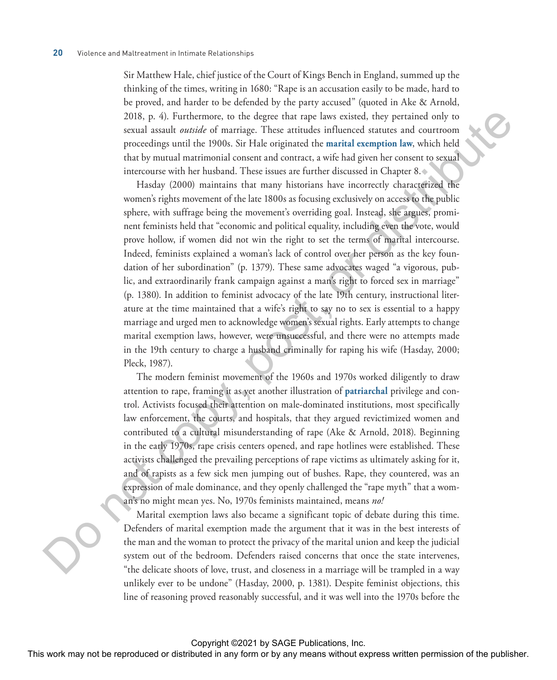Sir Matthew Hale, chief justice of the Court of Kings Bench in England, summed up the thinking of the times, writing in 1680: "Rape is an accusation easily to be made, hard to be proved, and harder to be defended by the party accused" (quoted in Ake & Arnold, 2018, p. 4). Furthermore, to the degree that rape laws existed, they pertained only to sexual assault *outside* of marriage. These attitudes influenced statutes and courtroom proceedings until the 1900s. Sir Hale originated the **marital exemption law**, which held that by mutual matrimonial consent and contract, a wife had given her consent to sexual intercourse with her husband. These issues are further discussed in Chapter 8.

Hasday (2000) maintains that many historians have incorrectly characterized the women's rights movement of the late 1800s as focusing exclusively on access to the public sphere, with suffrage being the movement's overriding goal. Instead, she argues, prominent feminists held that "economic and political equality, including even the vote, would prove hollow, if women did not win the right to set the terms of marital intercourse. Indeed, feminists explained a woman's lack of control over her person as the key foundation of her subordination" (p. 1379). These same advocates waged "a vigorous, public, and extraordinarily frank campaign against a man's right to forced sex in marriage" (p. 1380). In addition to feminist advocacy of the late 19th century, instructional literature at the time maintained that a wife's right to say no to sex is essential to a happy marriage and urged men to acknowledge women's sexual rights. Early attempts to change marital exemption laws, however, were unsuccessful, and there were no attempts made in the 19th century to charge a husband criminally for raping his wife (Hasday, 2000; Pleck, 1987). 2003. To A finite more to the degree that we relevend they permission by any form or by any means when the reproduced or another the responses when the properties with hell permission of the finite matrix contains when th

The modern feminist movement of the 1960s and 1970s worked diligently to draw attention to rape, framing it as yet another illustration of **patriarchal** privilege and control. Activists focused their attention on male-dominated institutions, most specifically law enforcement, the courts, and hospitals, that they argued revictimized women and contributed to a cultural misunderstanding of rape (Ake & Arnold, 2018). Beginning in the early 1970s, rape crisis centers opened, and rape hotlines were established. These activists challenged the prevailing perceptions of rape victims as ultimately asking for it, and of rapists as a few sick men jumping out of bushes. Rape, they countered, was an expression of male dominance, and they openly challenged the "rape myth" that a woman's no might mean yes. No, 1970s feminists maintained, means *no!*

Marital exemption laws also became a significant topic of debate during this time. Defenders of marital exemption made the argument that it was in the best interests of the man and the woman to protect the privacy of the marital union and keep the judicial system out of the bedroom. Defenders raised concerns that once the state intervenes, "the delicate shoots of love, trust, and closeness in a marriage will be trampled in a way unlikely ever to be undone" (Hasday, 2000, p. 1381). Despite feminist objections, this line of reasoning proved reasonably successful, and it was well into the 1970s before the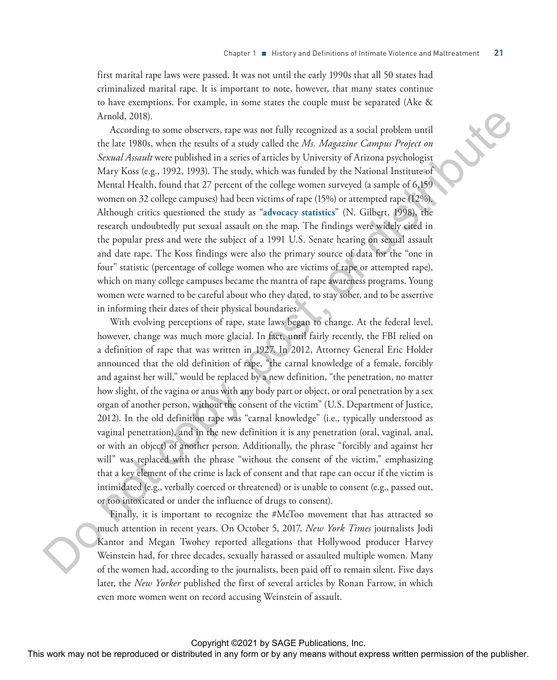first marital rape laws were passed. It was not until the early 1990s that all 50 states had criminalized marital rape. It is important to note, however, that many states continue to have exemptions. For example, in some states the couple must be separated (Ake & Arnold, 2018).

According to some observers, rape was not fully recognized as a social problem until the late 1980s, when the results of a study called the *Ms. Magazine Campus Project on Sexual Assault* were published in a series of articles by University of Arizona psychologist Mary Koss (e.g., 1992, 1993). The study, which was funded by the National Institute of Mental Health, found that 27 percent of the college women surveyed (a sample of 6,159 women on 32 college campuses) had been victims of rape (15%) or attempted rape (12%). Although critics questioned the study as "**advocacy statistics**" (N. Gilbert, 1998), the research undoubtedly put sexual assault on the map. The findings were widely cited in the popular press and were the subject of a 1991 U.S. Senate hearing on sexual assault and date rape. The Koss findings were also the primary source of data for the "one in four" statistic (percentage of college women who are victims of rape or attempted rape), which on many college campuses became the mantra of rape awareness programs. Young women were warned to be careful about who they dated, to stay sober, and to be assertive in informing their dates of their physical boundaries. Are the the representation of the results of the results of the results of the results of the results of a state definite of the results of the results of the results of the results of the results of the results of the re

With evolving perceptions of rape, state laws began to change. At the federal level, however, change was much more glacial. In fact, until fairly recently, the FBI relied on a definition of rape that was written in 1927. In 2012, Attorney General Eric Holder announced that the old definition of rape, "the carnal knowledge of a female, forcibly and against her will," would be replaced by a new definition, "the penetration, no matter how slight, of the vagina or anus with any body part or object, or oral penetration by a sex organ of another person, without the consent of the victim" (U.S. Department of Justice, 2012). In the old definition rape was "carnal knowledge" (i.e., typically understood as vaginal penetration), and in the new definition it is any penetration (oral, vaginal, anal, or with an object) of another person. Additionally, the phrase "forcibly and against her will" was replaced with the phrase "without the consent of the victim," emphasizing that a key element of the crime is lack of consent and that rape can occur if the victim is intimidated (e.g., verbally coerced or threatened) or is unable to consent (e.g., passed out, or too intoxicated or under the influence of drugs to consent).

Finally, it is important to recognize the #MeToo movement that has attracted so much attention in recent years. On October 5, 2017, *New York Times* journalists Jodi Kantor and Megan Twohey reported allegations that Hollywood producer Harvey Weinstein had, for three decades, sexually harassed or assaulted multiple women. Many of the women had, according to the journalists, been paid off to remain silent. Five days later, the *New Yorker* published the first of several articles by Ronan Farrow, in which even more women went on record accusing Weinstein of assault.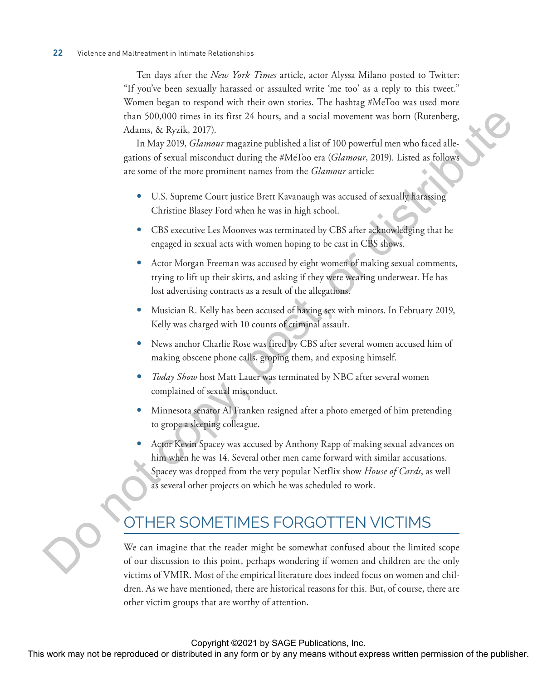Ten days after the *New York Times* article, actor Alyssa Milano posted to Twitter: "If you've been sexually harassed or assaulted write 'me too' as a reply to this tweet." Women began to respond with their own stories. The hashtag #MeToo was used more than 500,000 times in its first 24 hours, and a social movement was born (Rutenberg, Adams, & Ryzik, 2017).

In May 2019, *Glamour* magazine published a list of 100 powerful men who faced allegations of sexual misconduct during the #MeToo era (*Glamour*, 2019). Listed as follows are some of the more prominent names from the *Glamour* article:

- U.S. Supreme Court justice Brett Kavanaugh was accused of sexually harassing Christine Blasey Ford when he was in high school.
- CBS executive Les Moonves was terminated by CBS after acknowledging that he engaged in sexual acts with women hoping to be cast in CBS shows.
- Actor Morgan Freeman was accused by eight women of making sexual comments, trying to lift up their skirts, and asking if they were wearing underwear. He has lost advertising contracts as a result of the allegations.
- Musician R. Kelly has been accused of having sex with minors. In February 2019, Kelly was charged with 10 counts of criminal assault.
- News anchor Charlie Rose was fired by CBS after several women accused him of making obscene phone calls, groping them, and exposing himself.
- *Today Show* host Matt Lauer was terminated by NBC after several women complained of sexual misconduct.
- Minnesota senator Al Franken resigned after a photo emerged of him pretending to grope a sleeping colleague.
- Actor Kevin Spacey was accused by Anthony Rapp of making sexual advances on him when he was 14. Several other men came forward with similar accusations. Spacey was dropped from the very popular Netflix show *House of Cards*, as well as several other projects on which he was scheduled to work.

# OTHER SOMETIMES FORGOTTEN VICTIMS

We can imagine that the reader might be somewhat confused about the limited scope of our discussion to this point, perhaps wondering if women and children are the only victims of VMIR. Most of the empirical literature does indeed focus on women and children. As we have mentioned, there are historical reasons for this. But, of course, there are other victim groups that are worthy of attention. This work may not be reproduced to the reproduced or distribution or distributed in any any means when the publisher. This was not be the publisher and the publisher and the publisher. The publisher are seen of the anon-p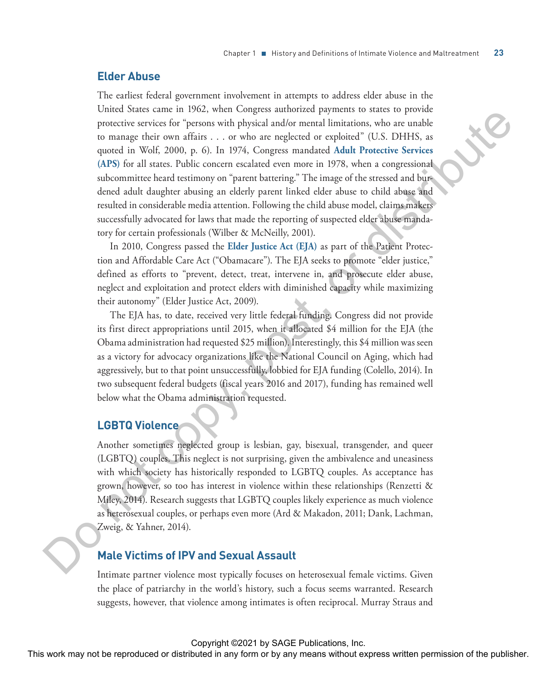## **Elder Abuse**

The earliest federal government involvement in attempts to address elder abuse in the United States came in 1962, when Congress authorized payments to states to provide protective services for "persons with physical and/or mental limitations, who are unable to manage their own affairs . . . or who are neglected or exploited" (U.S. DHHS, as quoted in Wolf, 2000, p. 6). In 1974, Congress mandated **Adult Protective Services (APS)** for all states. Public concern escalated even more in 1978, when a congressional subcommittee heard testimony on "parent battering." The image of the stressed and burdened adult daughter abusing an elderly parent linked elder abuse to child abuse and resulted in considerable media attention. Following the child abuse model, claims makers successfully advocated for laws that made the reporting of suspected elder abuse mandatory for certain professionals (Wilber & McNeilly, 2001). The results are not the results of the results with the results were also the publisher. The results were also that the results of the results of the results of the results of the results of the results of the results of

In 2010, Congress passed the **Elder Justice Act (EJA)** as part of the Patient Protection and Affordable Care Act ("Obamacare"). The EJA seeks to promote "elder justice," defined as efforts to "prevent, detect, treat, intervene in, and prosecute elder abuse, neglect and exploitation and protect elders with diminished capacity while maximizing their autonomy" (Elder Justice Act, 2009).

The EJA has, to date, received very little federal funding. Congress did not provide its first direct appropriations until 2015, when it allocated \$4 million for the EJA (the Obama administration had requested \$25 million). Interestingly, this \$4 million was seen as a victory for advocacy organizations like the National Council on Aging, which had aggressively, but to that point unsuccessfully, lobbied for EJA funding (Colello, 2014). In two subsequent federal budgets (fiscal years 2016 and 2017), funding has remained well below what the Obama administration requested.

## **LGBTQ Violence**

Another sometimes neglected group is lesbian, gay, bisexual, transgender, and queer (LGBTQ) couples. This neglect is not surprising, given the ambivalence and uneasiness with which society has historically responded to LGBTQ couples. As acceptance has grown, however, so too has interest in violence within these relationships (Renzetti & Miley, 2014). Research suggests that LGBTQ couples likely experience as much violence as heterosexual couples, or perhaps even more (Ard & Makadon, 2011; Dank, Lachman, Zweig, & Yahner, 2014).

## **Male Victims of IPV and Sexual Assault**

Intimate partner violence most typically focuses on heterosexual female victims. Given the place of patriarchy in the world's history, such a focus seems warranted. Research suggests, however, that violence among intimates is often reciprocal. Murray Straus and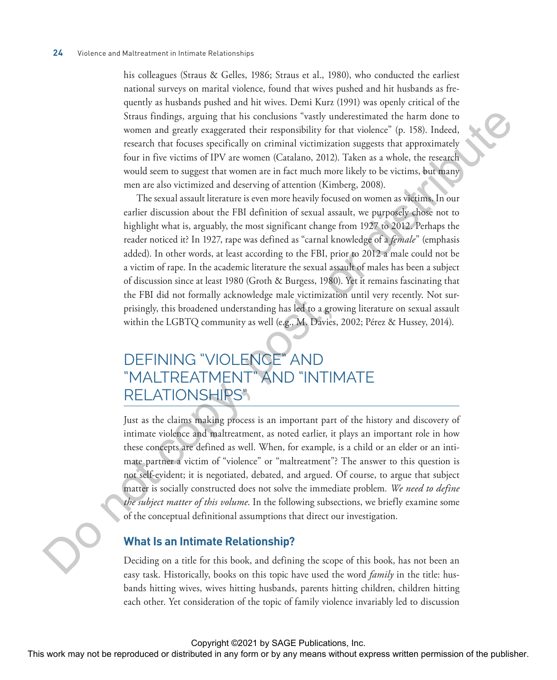his colleagues (Straus & Gelles, 1986; Straus et al., 1980), who conducted the earliest national surveys on marital violence, found that wives pushed and hit husbands as frequently as husbands pushed and hit wives. Demi Kurz (1991) was openly critical of the Straus findings, arguing that his conclusions "vastly underestimated the harm done to women and greatly exaggerated their responsibility for that violence" (p. 158). Indeed, research that focuses specifically on criminal victimization suggests that approximately four in five victims of IPV are women (Catalano, 2012). Taken as a whole, the research would seem to suggest that women are in fact much more likely to be victims, but many men are also victimized and deserving of attention (Kimberg, 2008).

The sexual assault literature is even more heavily focused on women as victims. In our earlier discussion about the FBI definition of sexual assault, we purposely chose not to highlight what is, arguably, the most significant change from 1927 to 2012. Perhaps the reader noticed it? In 1927, rape was defined as "carnal knowledge of a *female*" (emphasis added). In other words, at least according to the FBI, prior to 2012 a male could not be a victim of rape. In the academic literature the sexual assault of males has been a subject of discussion since at least 1980 (Groth & Burgess, 1980). Yet it remains fascinating that the FBI did not formally acknowledge male victimization until very recently. Not surprisingly, this broadened understanding has led to a growing literature on sexual assault within the LGBTQ community as well (e.g., M. Davies, 2002; Pérez & Hussey, 2014). Strum finding, a pairing that in containing the relation or be reproduced in any form or by any form or the reproduced in any form or by any form or by any form or by any form or by any form or by any form or by any form

# DEFINING "VIOLENCE" AND "MALTREATMENT" AND "INTIMATE RELATIONSHIPS"

Just as the claims making process is an important part of the history and discovery of intimate violence and maltreatment, as noted earlier, it plays an important role in how these concepts are defined as well. When, for example, is a child or an elder or an intimate partner a victim of "violence" or "maltreatment"? The answer to this question is not self-evident; it is negotiated, debated, and argued. Of course, to argue that subject matter is socially constructed does not solve the immediate problem*. We need to define the subject matter of this volume*. In the following subsections, we briefly examine some of the conceptual definitional assumptions that direct our investigation.

## **What Is an Intimate Relationship?**

Deciding on a title for this book, and defining the scope of this book, has not been an easy task. Historically, books on this topic have used the word *family* in the title: husbands hitting wives, wives hitting husbands, parents hitting children, children hitting each other. Yet consideration of the topic of family violence invariably led to discussion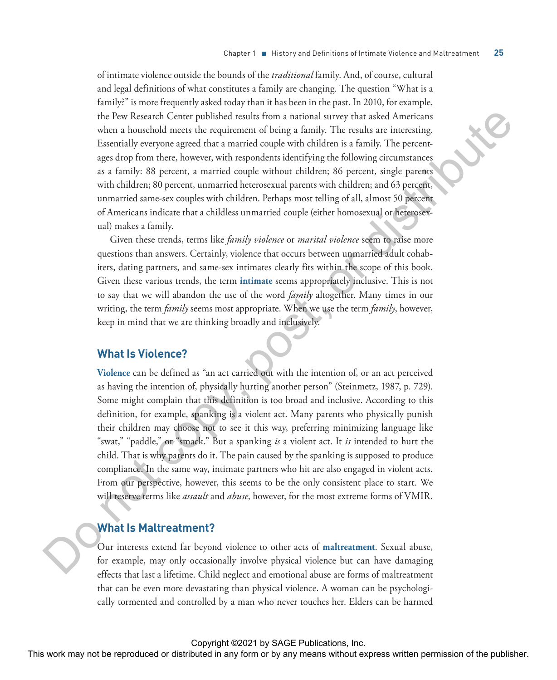of intimate violence outside the bounds of the *traditional* family. And, of course, cultural and legal definitions of what constitutes a family are changing. The question "What is a family?" is more frequently asked today than it has been in the past. In 2010, for example, the Pew Research Center published results from a national survey that asked Americans when a household meets the requirement of being a family. The results are interesting. Essentially everyone agreed that a married couple with children is a family. The percentages drop from there, however, with respondents identifying the following circumstances as a family: 88 percent, a married couple without children; 86 percent, single parents with children; 80 percent, unmarried heterosexual parents with children; and 63 percent, unmarried same-sex couples with children. Perhaps most telling of all, almost 50 percent of Americans indicate that a childless unmarried couple (either homosexual or heterosexual) makes a family.

Given these trends, terms like *family violence* or *marital violence* seem to raise more questions than answers. Certainly, violence that occurs between unmarried adult cohabiters, dating partners, and same-sex intimates clearly fits within the scope of this book. Given these various trends, the term **intimate** seems appropriately inclusive. This is not to say that we will abandon the use of the word *family* altogether. Many times in our writing, the term *family* seems most appropriate. When we use the term *family*, however, keep in mind that we are thinking broadly and inclusively.

## **What Is Violence?**

**Violence** can be defined as "an act carried out with the intention of, or an act perceived as having the intention of, physically hurting another person" (Steinmetz, 1987, p. 729). Some might complain that this definition is too broad and inclusive. According to this definition, for example, spanking is a violent act. Many parents who physically punish their children may choose not to see it this way, preferring minimizing language like "swat," "paddle," or "smack." But a spanking *is* a violent act. It *is* intended to hurt the child. That is why parents do it. The pain caused by the spanking is supposed to produce compliance. In the same way, intimate partners who hit are also engaged in violent acts. From our perspective, however, this seems to be the only consistent place to start. We will reserve terms like *assault* and *abuse*, however, for the most extreme forms of VMIR. The loss of control Control or the reproduced or the reproduced or distributed in a metallic control or the reproduced in any form or by any means with permission of the system, a metallic control or the publisher is a fu

## **What Is Maltreatment?**

Our interests extend far beyond violence to other acts of **maltreatment**. Sexual abuse, for example, may only occasionally involve physical violence but can have damaging effects that last a lifetime. Child neglect and emotional abuse are forms of maltreatment that can be even more devastating than physical violence. A woman can be psychologically tormented and controlled by a man who never touches her. Elders can be harmed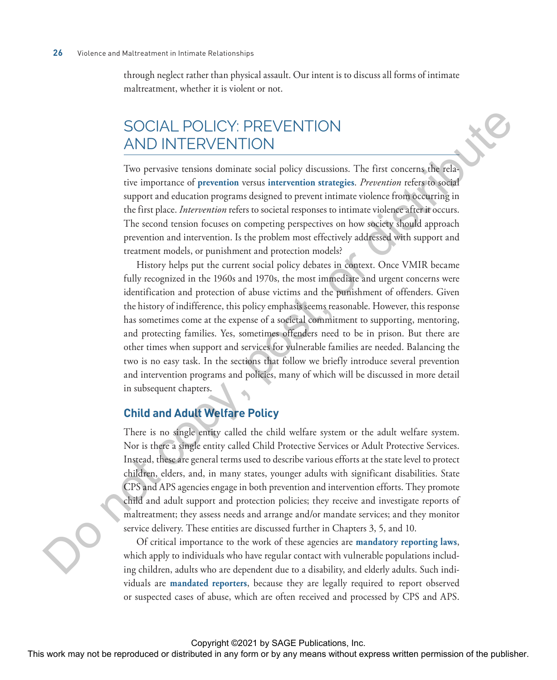through neglect rather than physical assault. Our intent is to discuss all forms of intimate maltreatment, whether it is violent or not.

# SOCIAL POLICY: PREVENTION AND INTERVENTION

Two pervasive tensions dominate social policy discussions. The first concerns the relative importance of **prevention** versus **intervention strategies**. *Prevention* refers to social support and education programs designed to prevent intimate violence from occurring in the first place. *Intervention* refers to societal responses to intimate violence after it occurs. The second tension focuses on competing perspectives on how society should approach prevention and intervention. Is the problem most effectively addressed with support and treatment models, or punishment and protection models?

History helps put the current social policy debates in context. Once VMIR became fully recognized in the 1960s and 1970s, the most immediate and urgent concerns were identification and protection of abuse victims and the punishment of offenders. Given the history of indifference, this policy emphasis seems reasonable. However, this response has sometimes come at the expense of a societal commitment to supporting, mentoring, and protecting families. Yes, sometimes offenders need to be in prison. But there are other times when support and services for vulnerable families are needed. Balancing the two is no easy task. In the sections that follow we briefly introduce several prevention and intervention programs and policies, many of which will be discussed in more detail in subsequent chapters. SOOIAL POLICY: PREVENTION<br>
The prevaile areas of protection scenarios attention at regions. The first concerns profered in<br>
we prevaile accompany reduced in any form or between the prevailent or distributed in any form or

## **Child and Adult Welfare Policy**

There is no single entity called the child welfare system or the adult welfare system. Nor is there a single entity called Child Protective Services or Adult Protective Services. Instead, these are general terms used to describe various efforts at the state level to protect children, elders, and, in many states, younger adults with significant disabilities. State CPS and APS agencies engage in both prevention and intervention efforts. They promote child and adult support and protection policies; they receive and investigate reports of maltreatment; they assess needs and arrange and/or mandate services; and they monitor service delivery. These entities are discussed further in Chapters 3, 5, and 10.

Of critical importance to the work of these agencies are **mandatory reporting laws**, which apply to individuals who have regular contact with vulnerable populations including children, adults who are dependent due to a disability, and elderly adults. Such individuals are **mandated reporters**, because they are legally required to report observed or suspected cases of abuse, which are often received and processed by CPS and APS.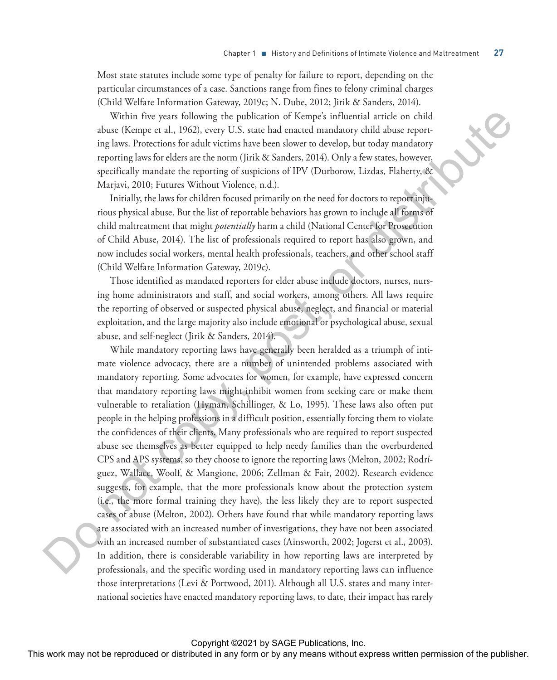Most state statutes include some type of penalty for failure to report, depending on the particular circumstances of a case. Sanctions range from fines to felony criminal charges (Child Welfare Information Gateway, 2019c; N. Dube, 2012; Jirik & Sanders, 2014).

Within five years following the publication of Kempe's influential article on child abuse (Kempe et al., 1962), every U.S. state had enacted mandatory child abuse reporting laws. Protections for adult victims have been slower to develop, but today mandatory reporting laws for elders are the norm (Jirik & Sanders, 2014). Only a few states, however, specifically mandate the reporting of suspicions of IPV (Durborow, Lizdas, Flaherty, & Marjavi, 2010; Futures Without Violence, n.d.).

Initially, the laws for children focused primarily on the need for doctors to report injurious physical abuse. But the list of reportable behaviors has grown to include all forms of child maltreatment that might *potentially* harm a child (National Center for Prosecution of Child Abuse, 2014). The list of professionals required to report has also grown, and now includes social workers, mental health professionals, teachers, and other school staff (Child Welfare Information Gateway, 2019c).

Those identified as mandated reporters for elder abuse include doctors, nurses, nursing home administrators and staff, and social workers, among others. All laws require the reporting of observed or suspected physical abuse, neglect, and financial or material exploitation, and the large majority also include emotional or psychological abuse, sexual abuse, and self-neglect (Jirik & Sanders, 2014).

While mandatory reporting laws have generally been heralded as a triumph of intimate violence advocacy, there are a number of unintended problems associated with mandatory reporting. Some advocates for women, for example, have expressed concern that mandatory reporting laws might inhibit women from seeking care or make them vulnerable to retaliation (Hyman, Schillinger, & Lo, 1995). These laws also often put people in the helping professions in a difficult position, essentially forcing them to violate the confidences of their clients. Many professionals who are required to report suspected abuse see themselves as better equipped to help needy families than the overburdened CPS and APS systems, so they choose to ignore the reporting laws (Melton, 2002; Rodríguez, Wallace, Woolf, & Mangione, 2006; Zellman & Fair, 2002). Research evidence suggests, for example, that the more professionals know about the protection system (i.e., the more formal training they have), the less likely they are to report suspected cases of abuse (Melton, 2002). Others have found that while mandatory reporting laws are associated with an increased number of investigations, they have not been associated with an increased number of substantiated cases (Ainsworth, 2002; Jogerst et al., 2003). In addition, there is considerable variability in how reporting laws are interpreted by professionals, and the specific wording used in mandatory reporting laws can influence those interpretations (Levi & Portwood, 2011). Although all U.S. states and many international societies have enacted mandatory reporting laws, to date, their impact has rarely While means the rest increase or distributed or distributed are colled or distributed in any means were subsequently at taking means were proprietely be reproduced to controller the means were subsequented in any means we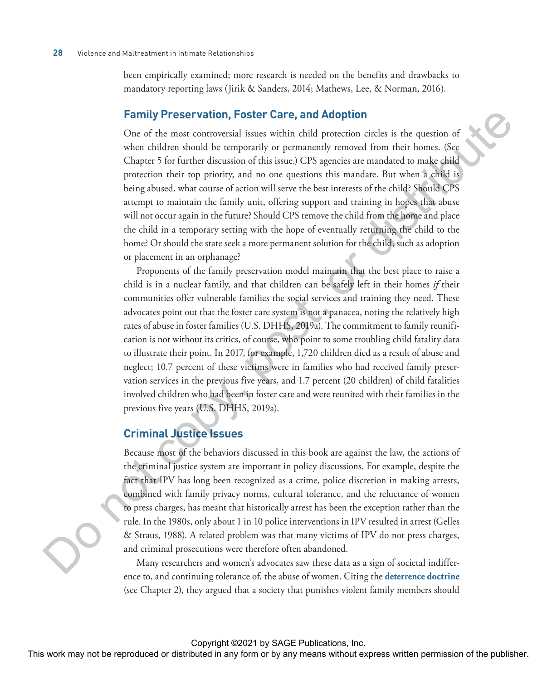been empirically examined; more research is needed on the benefits and drawbacks to mandatory reporting laws (Jirik & Sanders, 2014; Mathews, Lee, & Norman, 2016).

### **Family Preservation, Foster Care, and Adoption**

One of the most controversial issues within child protection circles is the question of when children should be temporarily or permanently removed from their homes. (See Chapter 5 for further discussion of this issue.) CPS agencies are mandated to make child protection their top priority, and no one questions this mandate. But when a child is being abused, what course of action will serve the best interests of the child? Should CPS attempt to maintain the family unit, offering support and training in hopes that abuse will not occur again in the future? Should CPS remove the child from the home and place the child in a temporary setting with the hope of eventually returning the child to the home? Or should the state seek a more permanent solution for the child, such as adoption or placement in an orphanage?

Proponents of the family preservation model maintain that the best place to raise a child is in a nuclear family, and that children can be safely left in their homes *if* their communities offer vulnerable families the social services and training they need. These advocates point out that the foster care system is not a panacea, noting the relatively high rates of abuse in foster families (U.S. DHHS, 2019a). The commitment to family reunification is not without its critics, of course, who point to some troubling child fatality data to illustrate their point. In 2017, for example, 1,720 children died as a result of abuse and neglect; 10.7 percent of these victims were in families who had received family preservation services in the previous five years, and 1.7 percent (20 children) of child fatalities involved children who had been in foster care and were reunited with their families in the previous five years (U.S. DHHS, 2019a). Family Presenve and or distributed or distributed in any form of the publisher or distributed in a verpositive permission or by any means with the publisher of the publisher of the publisher of the publisher. (See Copy, t

## **Criminal Justice Issues**

Because most of the behaviors discussed in this book are against the law, the actions of the criminal justice system are important in policy discussions. For example, despite the fact that IPV has long been recognized as a crime, police discretion in making arrests, combined with family privacy norms, cultural tolerance, and the reluctance of women to press charges, has meant that historically arrest has been the exception rather than the rule. In the 1980s, only about 1 in 10 police interventions in IPV resulted in arrest (Gelles & Straus, 1988). A related problem was that many victims of IPV do not press charges, and criminal prosecutions were therefore often abandoned.

Many researchers and women's advocates saw these data as a sign of societal indifference to, and continuing tolerance of, the abuse of women. Citing the **deterrence doctrine** (see Chapter 2), they argued that a society that punishes violent family members should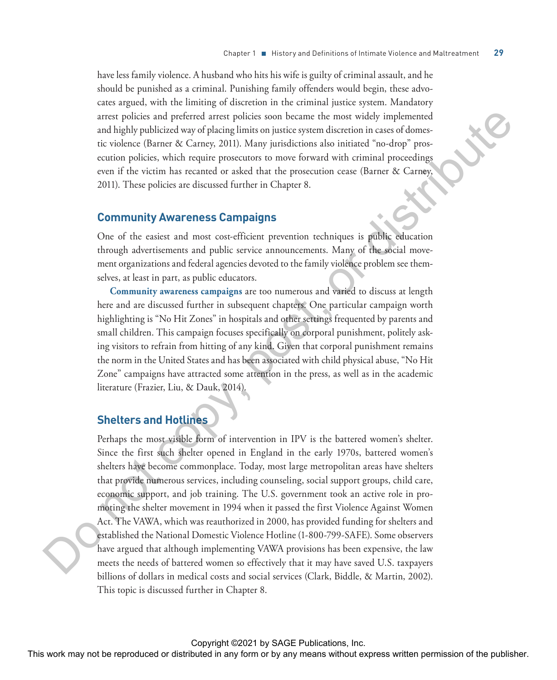have less family violence. A husband who hits his wife is guilty of criminal assault, and he should be punished as a criminal. Punishing family offenders would begin, these advocates argued, with the limiting of discretion in the criminal justice system. Mandatory arrest policies and preferred arrest policies soon became the most widely implemented and highly publicized way of placing limits on justice system discretion in cases of domestic violence (Barner & Carney, 2011). Many jurisdictions also initiated "no-drop" prosecution policies, which require prosecutors to move forward with criminal proceedings even if the victim has recanted or asked that the prosecution cease (Barner & Carney, 2011). These policies are discussed further in Chapter 8.

### **Community Awareness Campaigns**

One of the easiest and most cost-efficient prevention techniques is public education through advertisements and public service announcements. Many of the social movement organizations and federal agencies devoted to the family violence problem see themselves, at least in part, as public educators.

**Community awareness campaigns** are too numerous and varied to discuss at length here and are discussed further in subsequent chapters. One particular campaign worth highlighting is "No Hit Zones" in hospitals and other settings frequented by parents and small children. This campaign focuses specifically on corporal punishment, politely asking visitors to refrain from hitting of any kind. Given that corporal punishment remains the norm in the United States and has been associated with child physical abuse, "No Hit Zone" campaigns have attracted some attention in the press, as well as in the academic literature (Frazier, Liu, & Dauk, 2014).

## **Shelters and Hotlines**

Perhaps the most visible form of intervention in IPV is the battered women's shelter. Since the first such shelter opened in England in the early 1970s, battered women's shelters have become commonplace. Today, most large metropolitan areas have shelters that provide numerous services, including counseling, social support groups, child care, economic support, and job training. The U.S. government took an active role in promoting the shelter movement in 1994 when it passed the first Violence Against Women Act. The VAWA, which was reauthorized in 2000, has provided funding for shelters and established the National Domestic Violence Hotline (1-800-799-SAFE). Some observers have argued that although implementing VAWA provisions has been expensive, the law meets the needs of battered women so effectively that it may have saved U.S. taxpayers billions of dollars in medical costs and social services (Clark, Biddle, & Martin, 2002). This topic is discussed further in Chapter 8. The may note that the rest component per positions would be reproduced to similar the publishering the rest component or the rest component of the rest of the state of the color of the rest or behavior (Barnet Sc Componen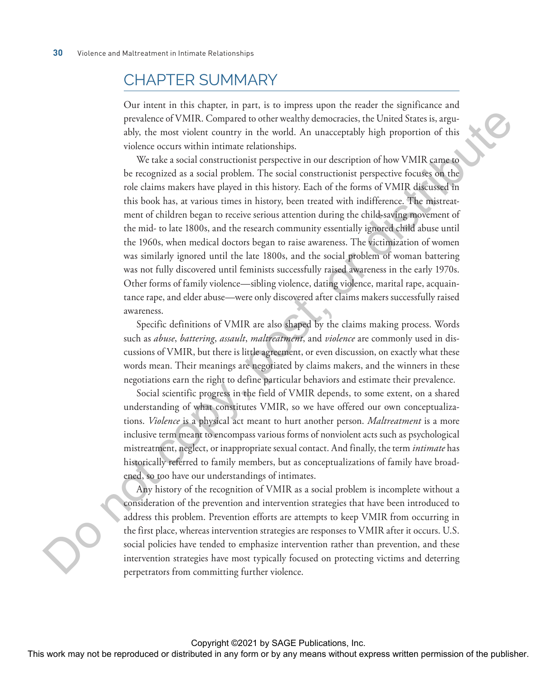## CHAPTER SUMMARY

Our intent in this chapter, in part, is to impress upon the reader the significance and prevalence of VMIR. Compared to other wealthy democracies, the United States is, arguably, the most violent country in the world. An unacceptably high proportion of this violence occurs within intimate relationships.

We take a social constructionist perspective in our description of how VMIR came to be recognized as a social problem. The social constructionist perspective focuses on the role claims makers have played in this history. Each of the forms of VMIR discussed in this book has, at various times in history, been treated with indifference. The mistreatment of children began to receive serious attention during the child-saving movement of the mid- to late 1800s, and the research community essentially ignored child abuse until the 1960s, when medical doctors began to raise awareness. The victimization of women was similarly ignored until the late 1800s, and the social problem of woman battering was not fully discovered until feminists successfully raised awareness in the early 1970s. Other forms of family violence—sibling violence, dating violence, marital rape, acquaintance rape, and elder abuse—were only discovered after claims makers successfully raised awareness. provides of VMIR, Conquest or distributed or distributed in any spectral in any form or between the representations of the publisher. The cost of the publisher and the publisher or distributed in a social problem. The cos

Specific definitions of VMIR are also shaped by the claims making process. Words such as *abuse*, *battering*, *assault*, *maltreatment*, and *violence* are commonly used in discussions of VMIR, but there is little agreement, or even discussion, on exactly what these words mean. Their meanings are negotiated by claims makers, and the winners in these negotiations earn the right to define particular behaviors and estimate their prevalence.

Social scientific progress in the field of VMIR depends, to some extent, on a shared understanding of what constitutes VMIR, so we have offered our own conceptualizations. *Violence* is a physical act meant to hurt another person. *Maltreatment* is a more inclusive term meant to encompass various forms of nonviolent acts such as psychological mistreatment, neglect, or inappropriate sexual contact. And finally, the term *intimate* has historically referred to family members, but as conceptualizations of family have broadened, so too have our understandings of intimates.

Any history of the recognition of VMIR as a social problem is incomplete without a consideration of the prevention and intervention strategies that have been introduced to address this problem. Prevention efforts are attempts to keep VMIR from occurring in the first place, whereas intervention strategies are responses to VMIR after it occurs. U.S. social policies have tended to emphasize intervention rather than prevention, and these intervention strategies have most typically focused on protecting victims and deterring perpetrators from committing further violence.